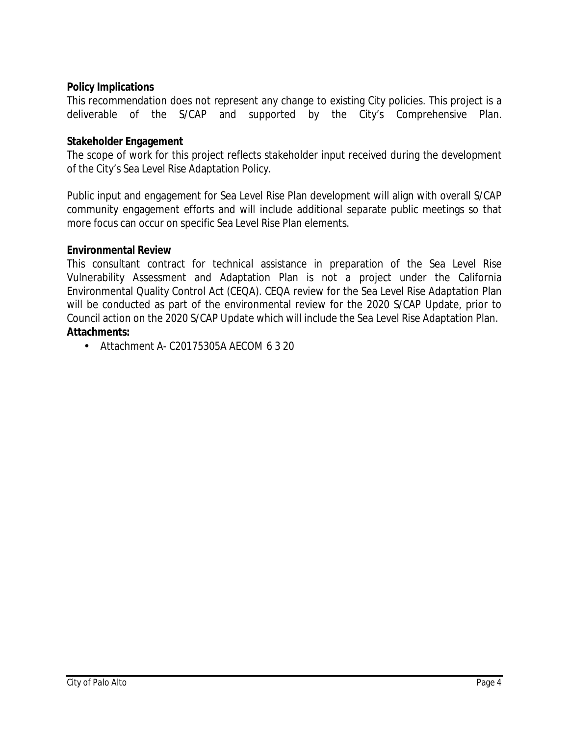# **Policy Implications**

This recommendation does not represent any change to existing City policies. This project is a deliverable of she S/CAP and supported ty's tomprehensive

# **Stakeholder Engagement**

The scope of work for this project reflects stakeholder input received during the development of the City's Sea Level Rise Adaptation Policy.

Public input and engagement for Sea Level Rise Plan development will align with overall S/CAP community engagement efforts and will include additional separate public meetings so that more focus can occur on specific Sea Level Rise Plan elements.

#### **Environmental Review**

This consultant contract for technical assistance in preparation of the Sea Level Rise Vulnerability Assessment and Adaptation Plan is not a project under the California Environmental Quality Control Act (CEQA). CEQA review for the Sea Level Rise Adaptation Plan will be conducted as part of the environmental review for the 2020 S/CAP Update, prior to Council action on the 2020 S/CAP Update which will include the Sea Level Rise Adaptation Plan. **Attachments:**

• Attachment A- C20175305A AECOM 6 3 20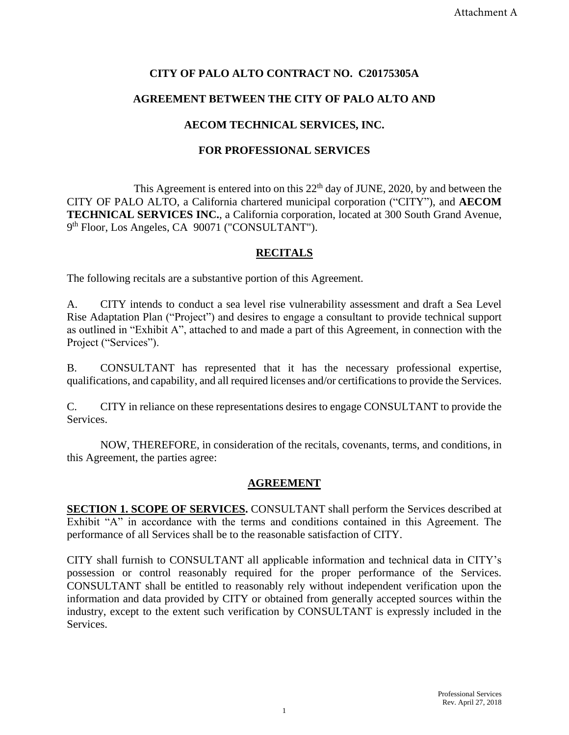# **CITY OF PALO ALTO CONTRACT NO. C20175305A**

# **AGREEMENT BETWEEN THE CITY OF PALO ALTO AND**

# **AECOM TECHNICAL SERVICES, INC.**

#### **FOR PROFESSIONAL SERVICES**

This Agreement is entered into on this  $22<sup>th</sup>$  day of JUNE, 2020, by and between the CITY OF PALO ALTO, a California chartered municipal corporation ("CITY"), and **AECOM TECHNICAL SERVICES INC.**, a California corporation, located at 300 South Grand Avenue, 9<sup>th</sup> Floor, Los Angeles, CA 90071 ("CONSULTANT").

# **RECITALS**

The following recitals are a substantive portion of this Agreement.

A. CITY intends to conduct a sea level rise vulnerability assessment and draft a Sea Level Rise Adaptation Plan ("Project") and desires to engage a consultant to provide technical support as outlined in "Exhibit A", attached to and made a part of this Agreement, in connection with the Project ("Services").

B. CONSULTANT has represented that it has the necessary professional expertise, qualifications, and capability, and all required licenses and/or certifications to provide the Services.

C. CITY in reliance on these representations desires to engage CONSULTANT to provide the Services.

NOW, THEREFORE, in consideration of the recitals, covenants, terms, and conditions, in this Agreement, the parties agree:

#### **AGREEMENT**

**SECTION 1. SCOPE OF SERVICES.** CONSULTANT shall perform the Services described at Exhibit "A" in accordance with the terms and conditions contained in this Agreement. The performance of all Services shall be to the reasonable satisfaction of CITY.

CITY shall furnish to CONSULTANT all applicable information and technical data in CITY's possession or control reasonably required for the proper performance of the Services. CONSULTANT shall be entitled to reasonably rely without independent verification upon the information and data provided by CITY or obtained from generally accepted sources within the industry, except to the extent such verification by CONSULTANT is expressly included in the Services.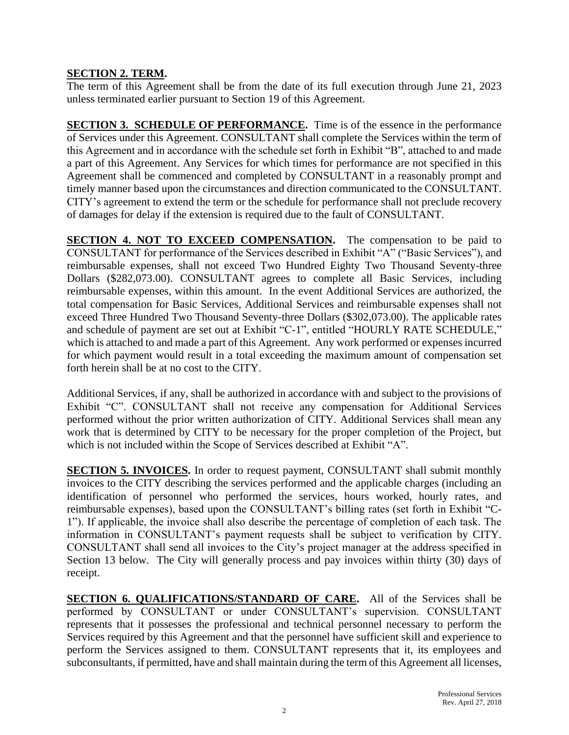# **SECTION 2. TERM.**

The term of this Agreement shall be from the date of its full execution through June 21, 2023 unless terminated earlier pursuant to Section 19 of this Agreement.

**SECTION 3. SCHEDULE OF PERFORMANCE.** Time is of the essence in the performance of Services under this Agreement. CONSULTANT shall complete the Services within the term of this Agreement and in accordance with the schedule set forth in Exhibit "B", attached to and made a part of this Agreement. Any Services for which times for performance are not specified in this Agreement shall be commenced and completed by CONSULTANT in a reasonably prompt and timely manner based upon the circumstances and direction communicated to the CONSULTANT. CITY's agreement to extend the term or the schedule for performance shall not preclude recovery of damages for delay if the extension is required due to the fault of CONSULTANT.

**SECTION 4. NOT TO EXCEED COMPENSATION.** The compensation to be paid to CONSULTANT for performance of the Services described in Exhibit "A" ("Basic Services"), and reimbursable expenses, shall not exceed Two Hundred Eighty Two Thousand Seventy-three Dollars (\$282,073.00). CONSULTANT agrees to complete all Basic Services, including reimbursable expenses, within this amount. In the event Additional Services are authorized, the total compensation for Basic Services, Additional Services and reimbursable expenses shall not exceed Three Hundred Two Thousand Seventy-three Dollars (\$302,073.00). The applicable rates and schedule of payment are set out at Exhibit "C-1", entitled "HOURLY RATE SCHEDULE," which is attached to and made a part of this Agreement. Any work performed or expenses incurred for which payment would result in a total exceeding the maximum amount of compensation set forth herein shall be at no cost to the CITY.

Additional Services, if any, shall be authorized in accordance with and subject to the provisions of Exhibit "C". CONSULTANT shall not receive any compensation for Additional Services performed without the prior written authorization of CITY. Additional Services shall mean any work that is determined by CITY to be necessary for the proper completion of the Project, but which is not included within the Scope of Services described at Exhibit "A".

**SECTION 5. INVOICES.** In order to request payment, CONSULTANT shall submit monthly invoices to the CITY describing the services performed and the applicable charges (including an identification of personnel who performed the services, hours worked, hourly rates, and reimbursable expenses), based upon the CONSULTANT's billing rates (set forth in Exhibit "C-1"). If applicable, the invoice shall also describe the percentage of completion of each task. The information in CONSULTANT's payment requests shall be subject to verification by CITY. CONSULTANT shall send all invoices to the City's project manager at the address specified in Section 13 below. The City will generally process and pay invoices within thirty (30) days of receipt.

**SECTION 6. QUALIFICATIONS/STANDARD OF CARE.** All of the Services shall be performed by CONSULTANT or under CONSULTANT's supervision. CONSULTANT represents that it possesses the professional and technical personnel necessary to perform the Services required by this Agreement and that the personnel have sufficient skill and experience to perform the Services assigned to them. CONSULTANT represents that it, its employees and subconsultants, if permitted, have and shall maintain during the term of this Agreement all licenses,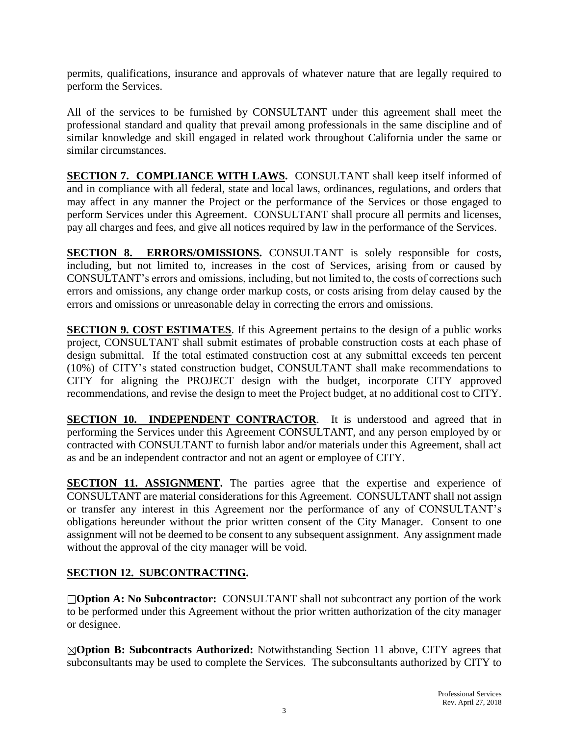permits, qualifications, insurance and approvals of whatever nature that are legally required to perform the Services.

All of the services to be furnished by CONSULTANT under this agreement shall meet the professional standard and quality that prevail among professionals in the same discipline and of similar knowledge and skill engaged in related work throughout California under the same or similar circumstances.

**SECTION 7. COMPLIANCE WITH LAWS.** CONSULTANT shall keep itself informed of and in compliance with all federal, state and local laws, ordinances, regulations, and orders that may affect in any manner the Project or the performance of the Services or those engaged to perform Services under this Agreement. CONSULTANT shall procure all permits and licenses, pay all charges and fees, and give all notices required by law in the performance of the Services.

**SECTION 8. ERRORS/OMISSIONS.** CONSULTANT is solely responsible for costs, including, but not limited to, increases in the cost of Services, arising from or caused by CONSULTANT's errors and omissions, including, but not limited to, the costs of corrections such errors and omissions, any change order markup costs, or costs arising from delay caused by the errors and omissions or unreasonable delay in correcting the errors and omissions.

**SECTION 9. COST ESTIMATES.** If this Agreement pertains to the design of a public works project, CONSULTANT shall submit estimates of probable construction costs at each phase of design submittal. If the total estimated construction cost at any submittal exceeds ten percent (10%) of CITY's stated construction budget, CONSULTANT shall make recommendations to CITY for aligning the PROJECT design with the budget, incorporate CITY approved recommendations, and revise the design to meet the Project budget, at no additional cost to CITY.

**SECTION 10. INDEPENDENT CONTRACTOR**. It is understood and agreed that in performing the Services under this Agreement CONSULTANT, and any person employed by or contracted with CONSULTANT to furnish labor and/or materials under this Agreement, shall act as and be an independent contractor and not an agent or employee of CITY.

**SECTION 11. ASSIGNMENT.** The parties agree that the expertise and experience of CONSULTANT are material considerations for this Agreement. CONSULTANT shall not assign or transfer any interest in this Agreement nor the performance of any of CONSULTANT's obligations hereunder without the prior written consent of the City Manager. Consent to one assignment will not be deemed to be consent to any subsequent assignment. Any assignment made without the approval of the city manager will be void.

# **SECTION 12. SUBCONTRACTING.**

**Option A: No Subcontractor:** CONSULTANT shall not subcontract any portion of the work to be performed under this Agreement without the prior written authorization of the city manager or designee.

**Option B: Subcontracts Authorized:** Notwithstanding Section 11 above, CITY agrees that subconsultants may be used to complete the Services. The subconsultants authorized by CITY to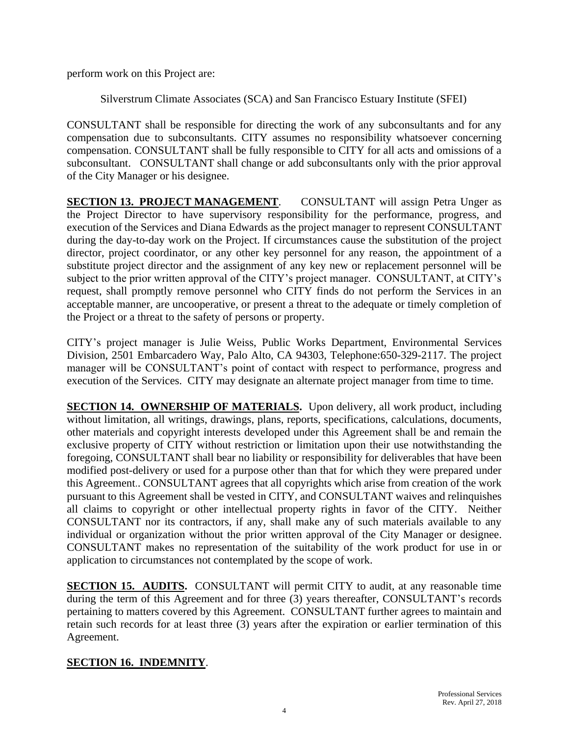perform work on this Project are:

Silverstrum Climate Associates (SCA) and San Francisco Estuary Institute (SFEI)

CONSULTANT shall be responsible for directing the work of any subconsultants and for any compensation due to subconsultants. CITY assumes no responsibility whatsoever concerning compensation. CONSULTANT shall be fully responsible to CITY for all acts and omissions of a subconsultant. CONSULTANT shall change or add subconsultants only with the prior approval of the City Manager or his designee.

**SECTION 13. PROJECT MANAGEMENT.** CONSULTANT will assign Petra Unger as the Project Director to have supervisory responsibility for the performance, progress, and execution of the Services and Diana Edwards as the project manager to represent CONSULTANT during the day-to-day work on the Project. If circumstances cause the substitution of the project director, project coordinator, or any other key personnel for any reason, the appointment of a substitute project director and the assignment of any key new or replacement personnel will be subject to the prior written approval of the CITY's project manager. CONSULTANT, at CITY's request, shall promptly remove personnel who CITY finds do not perform the Services in an acceptable manner, are uncooperative, or present a threat to the adequate or timely completion of the Project or a threat to the safety of persons or property.

CITY's project manager is Julie Weiss, Public Works Department, Environmental Services Division, 2501 Embarcadero Way, Palo Alto, CA 94303, Telephone:650-329-2117. The project manager will be CONSULTANT's point of contact with respect to performance, progress and execution of the Services. CITY may designate an alternate project manager from time to time.

**SECTION 14. OWNERSHIP OF MATERIALS.** Upon delivery, all work product, including without limitation, all writings, drawings, plans, reports, specifications, calculations, documents, other materials and copyright interests developed under this Agreement shall be and remain the exclusive property of CITY without restriction or limitation upon their use notwithstanding the foregoing, CONSULTANT shall bear no liability or responsibility for deliverables that have been modified post-delivery or used for a purpose other than that for which they were prepared under this Agreement.. CONSULTANT agrees that all copyrights which arise from creation of the work pursuant to this Agreement shall be vested in CITY, and CONSULTANT waives and relinquishes all claims to copyright or other intellectual property rights in favor of the CITY. Neither CONSULTANT nor its contractors, if any, shall make any of such materials available to any individual or organization without the prior written approval of the City Manager or designee. CONSULTANT makes no representation of the suitability of the work product for use in or application to circumstances not contemplated by the scope of work.

**SECTION 15. AUDITS.** CONSULTANT will permit CITY to audit, at any reasonable time during the term of this Agreement and for three (3) years thereafter, CONSULTANT's records pertaining to matters covered by this Agreement. CONSULTANT further agrees to maintain and retain such records for at least three (3) years after the expiration or earlier termination of this Agreement.

# **SECTION 16. INDEMNITY**.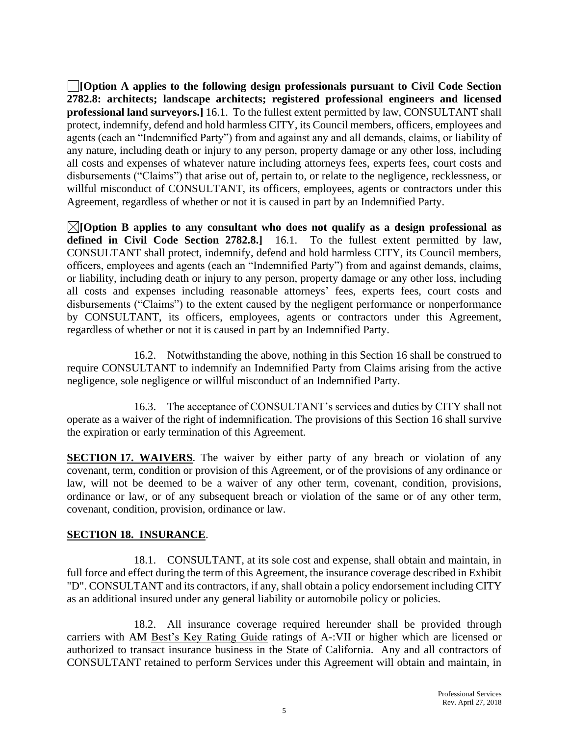**[Option A applies to the following design professionals pursuant to Civil Code Section 2782.8: architects; landscape architects; registered professional engineers and licensed professional land surveyors.]** 16.1.To the fullest extent permitted by law, CONSULTANT shall protect, indemnify, defend and hold harmless CITY, its Council members, officers, employees and agents (each an "Indemnified Party") from and against any and all demands, claims, or liability of any nature, including death or injury to any person, property damage or any other loss, including all costs and expenses of whatever nature including attorneys fees, experts fees, court costs and disbursements ("Claims") that arise out of, pertain to, or relate to the negligence, recklessness, or willful misconduct of CONSULTANT, its officers, employees, agents or contractors under this Agreement, regardless of whether or not it is caused in part by an Indemnified Party.

**[Option B applies to any consultant who does not qualify as a design professional as defined in Civil Code Section 2782.8.]** 16.1. To the fullest extent permitted by law, CONSULTANT shall protect, indemnify, defend and hold harmless CITY, its Council members, officers, employees and agents (each an "Indemnified Party") from and against demands, claims, or liability, including death or injury to any person, property damage or any other loss, including all costs and expenses including reasonable attorneys' fees, experts fees, court costs and disbursements ("Claims") to the extent caused by the negligent performance or nonperformance by CONSULTANT, its officers, employees, agents or contractors under this Agreement, regardless of whether or not it is caused in part by an Indemnified Party.

16.2. Notwithstanding the above, nothing in this Section 16 shall be construed to require CONSULTANT to indemnify an Indemnified Party from Claims arising from the active negligence, sole negligence or willful misconduct of an Indemnified Party.

16.3. The acceptance of CONSULTANT's services and duties by CITY shall not operate as a waiver of the right of indemnification. The provisions of this Section 16 shall survive the expiration or early termination of this Agreement.

**SECTION 17. WAIVERS**. The waiver by either party of any breach or violation of any covenant, term, condition or provision of this Agreement, or of the provisions of any ordinance or law, will not be deemed to be a waiver of any other term, covenant, condition, provisions, ordinance or law, or of any subsequent breach or violation of the same or of any other term, covenant, condition, provision, ordinance or law.

# **SECTION 18. INSURANCE**.

18.1. CONSULTANT, at its sole cost and expense, shall obtain and maintain, in full force and effect during the term of this Agreement, the insurance coverage described in Exhibit "D". CONSULTANT and its contractors, if any, shall obtain a policy endorsement including CITY as an additional insured under any general liability or automobile policy or policies.

18.2. All insurance coverage required hereunder shall be provided through carriers with AM Best's Key Rating Guide ratings of A-:VII or higher which are licensed or authorized to transact insurance business in the State of California. Any and all contractors of CONSULTANT retained to perform Services under this Agreement will obtain and maintain, in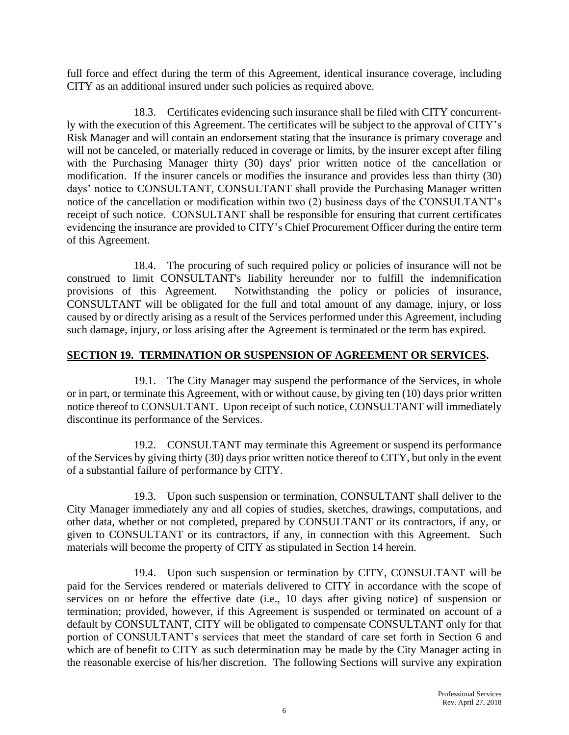full force and effect during the term of this Agreement, identical insurance coverage, including CITY as an additional insured under such policies as required above.

18.3. Certificates evidencing such insurance shall be filed with CITY concurrently with the execution of this Agreement. The certificates will be subject to the approval of CITY's Risk Manager and will contain an endorsement stating that the insurance is primary coverage and will not be canceled, or materially reduced in coverage or limits, by the insurer except after filing with the Purchasing Manager thirty (30) days' prior written notice of the cancellation or modification. If the insurer cancels or modifies the insurance and provides less than thirty (30) days' notice to CONSULTANT, CONSULTANT shall provide the Purchasing Manager written notice of the cancellation or modification within two (2) business days of the CONSULTANT's receipt of such notice. CONSULTANT shall be responsible for ensuring that current certificates evidencing the insurance are provided to CITY's Chief Procurement Officer during the entire term of this Agreement.

18.4. The procuring of such required policy or policies of insurance will not be construed to limit CONSULTANT's liability hereunder nor to fulfill the indemnification provisions of this Agreement. Notwithstanding the policy or policies of insurance, CONSULTANT will be obligated for the full and total amount of any damage, injury, or loss caused by or directly arising as a result of the Services performed under this Agreement, including such damage, injury, or loss arising after the Agreement is terminated or the term has expired.

#### **SECTION 19. TERMINATION OR SUSPENSION OF AGREEMENT OR SERVICES.**

19.1. The City Manager may suspend the performance of the Services, in whole or in part, or terminate this Agreement, with or without cause, by giving ten (10) days prior written notice thereof to CONSULTANT. Upon receipt of such notice, CONSULTANT will immediately discontinue its performance of the Services.

19.2. CONSULTANT may terminate this Agreement or suspend its performance of the Services by giving thirty (30) days prior written notice thereof to CITY, but only in the event of a substantial failure of performance by CITY.

19.3. Upon such suspension or termination, CONSULTANT shall deliver to the City Manager immediately any and all copies of studies, sketches, drawings, computations, and other data, whether or not completed, prepared by CONSULTANT or its contractors, if any, or given to CONSULTANT or its contractors, if any, in connection with this Agreement. Such materials will become the property of CITY as stipulated in Section 14 herein.

19.4. Upon such suspension or termination by CITY, CONSULTANT will be paid for the Services rendered or materials delivered to CITY in accordance with the scope of services on or before the effective date (i.e., 10 days after giving notice) of suspension or termination; provided, however, if this Agreement is suspended or terminated on account of a default by CONSULTANT, CITY will be obligated to compensate CONSULTANT only for that portion of CONSULTANT's services that meet the standard of care set forth in Section 6 and which are of benefit to CITY as such determination may be made by the City Manager acting in the reasonable exercise of his/her discretion. The following Sections will survive any expiration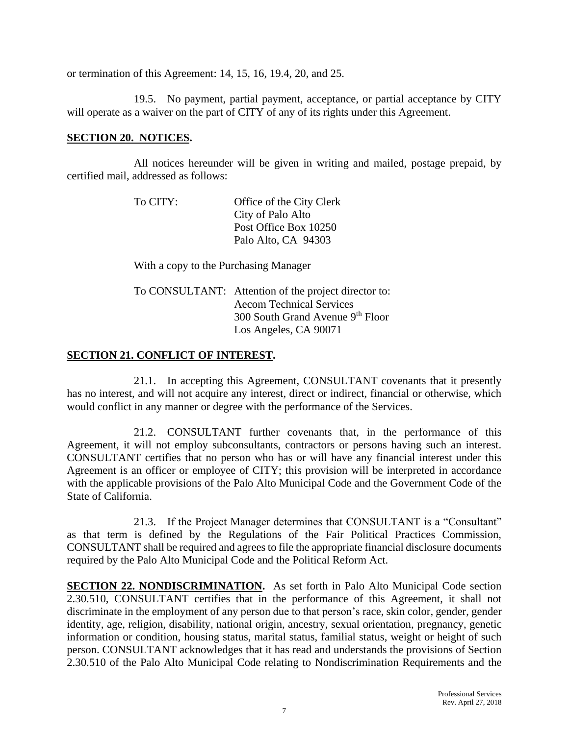or termination of this Agreement: 14, 15, 16, 19.4, 20, and 25.

19.5. No payment, partial payment, acceptance, or partial acceptance by CITY will operate as a waiver on the part of CITY of any of its rights under this Agreement.

#### **SECTION 20. NOTICES.**

All notices hereunder will be given in writing and mailed, postage prepaid, by certified mail, addressed as follows:

| To CITY: | Office of the City Clerk |
|----------|--------------------------|
|          | City of Palo Alto        |
|          | Post Office Box 10250    |
|          | Palo Alto, CA 94303      |

With a copy to the Purchasing Manager

| To CONSULTANT: Attention of the project director to: |
|------------------------------------------------------|
| <b>Aecom Technical Services</b>                      |
| 300 South Grand Avenue 9th Floor                     |
| Los Angeles, CA 90071                                |

#### **SECTION 21. CONFLICT OF INTEREST.**

21.1. In accepting this Agreement, CONSULTANT covenants that it presently has no interest, and will not acquire any interest, direct or indirect, financial or otherwise, which would conflict in any manner or degree with the performance of the Services.

21.2. CONSULTANT further covenants that, in the performance of this Agreement, it will not employ subconsultants, contractors or persons having such an interest. CONSULTANT certifies that no person who has or will have any financial interest under this Agreement is an officer or employee of CITY; this provision will be interpreted in accordance with the applicable provisions of the Palo Alto Municipal Code and the Government Code of the State of California.

21.3. If the Project Manager determines that CONSULTANT is a "Consultant" as that term is defined by the Regulations of the Fair Political Practices Commission, CONSULTANT shall be required and agrees to file the appropriate financial disclosure documents required by the Palo Alto Municipal Code and the Political Reform Act.

**SECTION 22. NONDISCRIMINATION.** As set forth in Palo Alto Municipal Code section 2.30.510, CONSULTANT certifies that in the performance of this Agreement, it shall not discriminate in the employment of any person due to that person's race, skin color, gender, gender identity, age, religion, disability, national origin, ancestry, sexual orientation, pregnancy, genetic information or condition, housing status, marital status, familial status, weight or height of such person. CONSULTANT acknowledges that it has read and understands the provisions of Section 2.30.510 of the Palo Alto Municipal Code relating to Nondiscrimination Requirements and the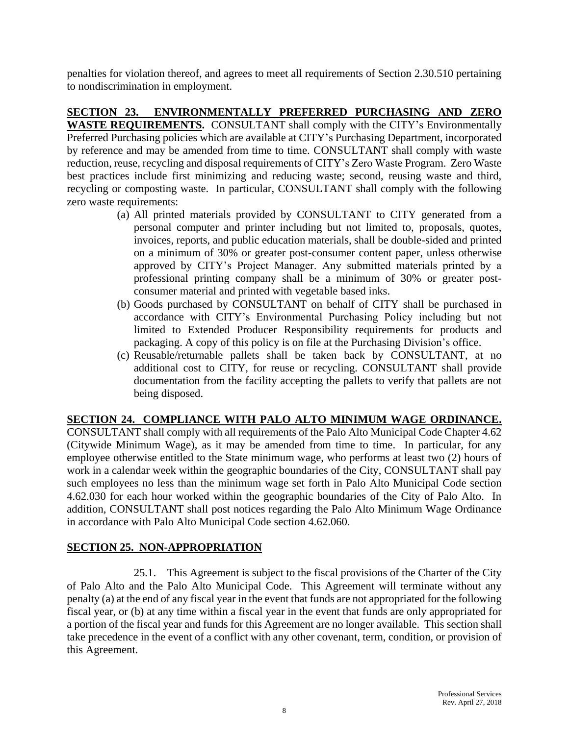penalties for violation thereof, and agrees to meet all requirements of Section 2.30.510 pertaining to nondiscrimination in employment.

**SECTION 23. ENVIRONMENTALLY PREFERRED PURCHASING AND ZERO WASTE REQUIREMENTS.** CONSULTANT shall comply with the CITY's Environmentally Preferred Purchasing policies which are available at CITY's Purchasing Department, incorporated by reference and may be amended from time to time. CONSULTANT shall comply with waste reduction, reuse, recycling and disposal requirements of CITY's Zero Waste Program. Zero Waste best practices include first minimizing and reducing waste; second, reusing waste and third, recycling or composting waste. In particular, CONSULTANT shall comply with the following zero waste requirements:

- (a) All printed materials provided by CONSULTANT to CITY generated from a personal computer and printer including but not limited to, proposals, quotes, invoices, reports, and public education materials, shall be double-sided and printed on a minimum of 30% or greater post-consumer content paper, unless otherwise approved by CITY's Project Manager. Any submitted materials printed by a professional printing company shall be a minimum of 30% or greater postconsumer material and printed with vegetable based inks.
- (b) Goods purchased by CONSULTANT on behalf of CITY shall be purchased in accordance with CITY's Environmental Purchasing Policy including but not limited to Extended Producer Responsibility requirements for products and packaging. A copy of this policy is on file at the Purchasing Division's office.
- (c) Reusable/returnable pallets shall be taken back by CONSULTANT, at no additional cost to CITY, for reuse or recycling. CONSULTANT shall provide documentation from the facility accepting the pallets to verify that pallets are not being disposed.

# **SECTION 24. COMPLIANCE WITH PALO ALTO MINIMUM WAGE ORDINANCE.**

CONSULTANT shall comply with all requirements of the Palo Alto Municipal Code Chapter 4.62 (Citywide Minimum Wage), as it may be amended from time to time. In particular, for any employee otherwise entitled to the State minimum wage, who performs at least two (2) hours of work in a calendar week within the geographic boundaries of the City, CONSULTANT shall pay such employees no less than the minimum wage set forth in Palo Alto Municipal Code section 4.62.030 for each hour worked within the geographic boundaries of the City of Palo Alto. In addition, CONSULTANT shall post notices regarding the Palo Alto Minimum Wage Ordinance in accordance with Palo Alto Municipal Code section 4.62.060.

# **SECTION 25. NON-APPROPRIATION**

25.1. This Agreement is subject to the fiscal provisions of the Charter of the City of Palo Alto and the Palo Alto Municipal Code. This Agreement will terminate without any penalty (a) at the end of any fiscal year in the event that funds are not appropriated for the following fiscal year, or (b) at any time within a fiscal year in the event that funds are only appropriated for a portion of the fiscal year and funds for this Agreement are no longer available. This section shall take precedence in the event of a conflict with any other covenant, term, condition, or provision of this Agreement.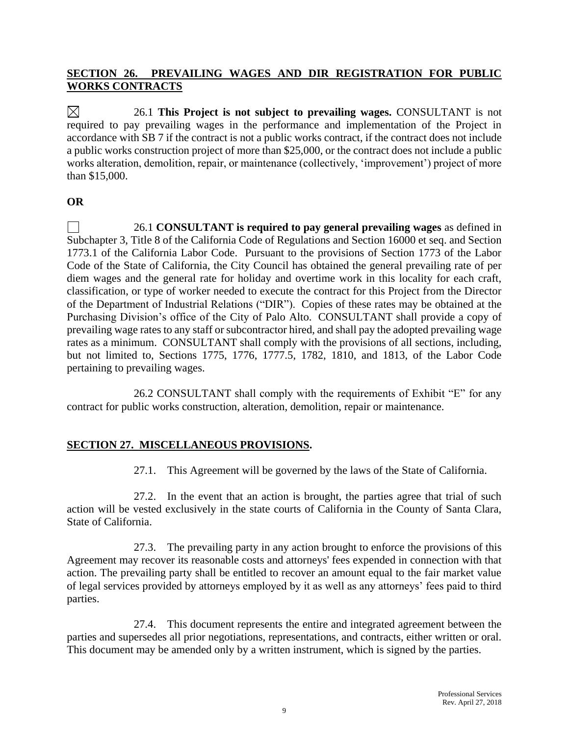# **SECTION 26. PREVAILING WAGES AND DIR REGISTRATION FOR PUBLIC WORKS CONTRACTS**

 $\boxtimes$ 26.1 **This Project is not subject to prevailing wages.** CONSULTANT is not required to pay prevailing wages in the performance and implementation of the Project in accordance with SB 7 if the contract is not a public works contract, if the contract does not include a public works construction project of more than \$25,000, or the contract does not include a public works alteration, demolition, repair, or maintenance (collectively, 'improvement') project of more than \$15,000.

# **OR**

 $\Box$ 26.1 **CONSULTANT is required to pay general prevailing wages** as defined in Subchapter 3, Title 8 of the California Code of Regulations and Section 16000 et seq. and Section 1773.1 of the California Labor Code. Pursuant to the provisions of Section 1773 of the Labor Code of the State of California, the City Council has obtained the general prevailing rate of per diem wages and the general rate for holiday and overtime work in this locality for each craft, classification, or type of worker needed to execute the contract for this Project from the Director of the Department of Industrial Relations ("DIR"). Copies of these rates may be obtained at the Purchasing Division's office of the City of Palo Alto. CONSULTANT shall provide a copy of prevailing wage rates to any staff or subcontractor hired, and shall pay the adopted prevailing wage rates as a minimum. CONSULTANT shall comply with the provisions of all sections, including, but not limited to, Sections 1775, 1776, 1777.5, 1782, 1810, and 1813, of the Labor Code pertaining to prevailing wages.

26.2 CONSULTANT shall comply with the requirements of Exhibit "E" for any contract for public works construction, alteration, demolition, repair or maintenance.

# **SECTION 27. MISCELLANEOUS PROVISIONS.**

27.1. This Agreement will be governed by the laws of the State of California.

27.2. In the event that an action is brought, the parties agree that trial of such action will be vested exclusively in the state courts of California in the County of Santa Clara, State of California.

27.3. The prevailing party in any action brought to enforce the provisions of this Agreement may recover its reasonable costs and attorneys' fees expended in connection with that action. The prevailing party shall be entitled to recover an amount equal to the fair market value of legal services provided by attorneys employed by it as well as any attorneys' fees paid to third parties.

27.4. This document represents the entire and integrated agreement between the parties and supersedes all prior negotiations, representations, and contracts, either written or oral. This document may be amended only by a written instrument, which is signed by the parties.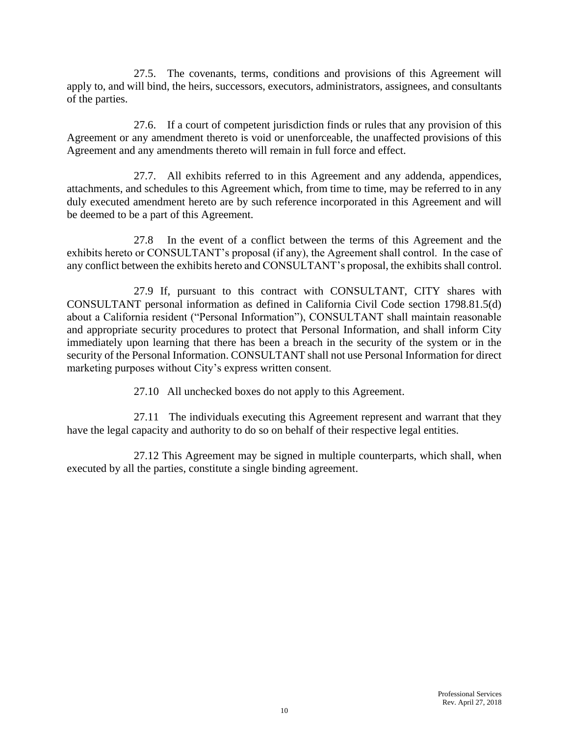27.5. The covenants, terms, conditions and provisions of this Agreement will apply to, and will bind, the heirs, successors, executors, administrators, assignees, and consultants of the parties.

27.6. If a court of competent jurisdiction finds or rules that any provision of this Agreement or any amendment thereto is void or unenforceable, the unaffected provisions of this Agreement and any amendments thereto will remain in full force and effect.

27.7. All exhibits referred to in this Agreement and any addenda, appendices, attachments, and schedules to this Agreement which, from time to time, may be referred to in any duly executed amendment hereto are by such reference incorporated in this Agreement and will be deemed to be a part of this Agreement.

27.8 In the event of a conflict between the terms of this Agreement and the exhibits hereto or CONSULTANT's proposal (if any), the Agreement shall control. In the case of any conflict between the exhibits hereto and CONSULTANT's proposal, the exhibits shall control.

27.9 If, pursuant to this contract with CONSULTANT, CITY shares with CONSULTANT personal information as defined in California Civil Code section 1798.81.5(d) about a California resident ("Personal Information"), CONSULTANT shall maintain reasonable and appropriate security procedures to protect that Personal Information, and shall inform City immediately upon learning that there has been a breach in the security of the system or in the security of the Personal Information. CONSULTANT shall not use Personal Information for direct marketing purposes without City's express written consent.

27.10 All unchecked boxes do not apply to this Agreement.

27.11 The individuals executing this Agreement represent and warrant that they have the legal capacity and authority to do so on behalf of their respective legal entities.

27.12 This Agreement may be signed in multiple counterparts, which shall, when executed by all the parties, constitute a single binding agreement.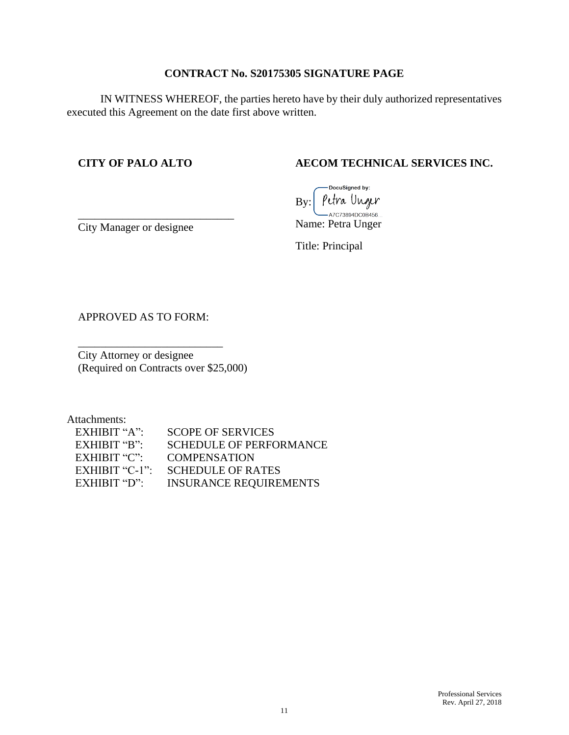# **CONTRACT No. S20175305 SIGNATURE PAGE**

IN WITNESS WHEREOF, the parties hereto have by their duly authorized representatives executed this Agreement on the date first above written.

#### **CITY OF PALO ALTO**

# **AECOM TECHNICAL SERVICES INC.**

DocuSigned by: Petra Unger By: -A7C73894DC0B456... Name: Petra Unger

City Manager or designee

\_\_\_\_\_\_\_\_\_\_\_\_\_\_\_\_\_\_\_\_\_\_\_\_\_\_\_\_

Title: Principal

APPROVED AS TO FORM:

\_\_\_\_\_\_\_\_\_\_\_\_\_\_\_\_\_\_\_\_\_\_\_\_\_\_

City Attorney or designee (Required on Contracts over \$25,000)

Attachments:

| EXHIBIT " $A$ ": | <b>SCOPE OF SERVICES</b>      |
|------------------|-------------------------------|
| EXHIBIT "B":     | SCHEDULE OF PERFORMANCE       |
| EXHIBIT " $C$ ": | <b>COMPENSATION</b>           |
| EXHIBIT "C-1":   | <b>SCHEDULE OF RATES</b>      |
| EXHIBIT " $D$ ": | <b>INSURANCE REQUIREMENTS</b> |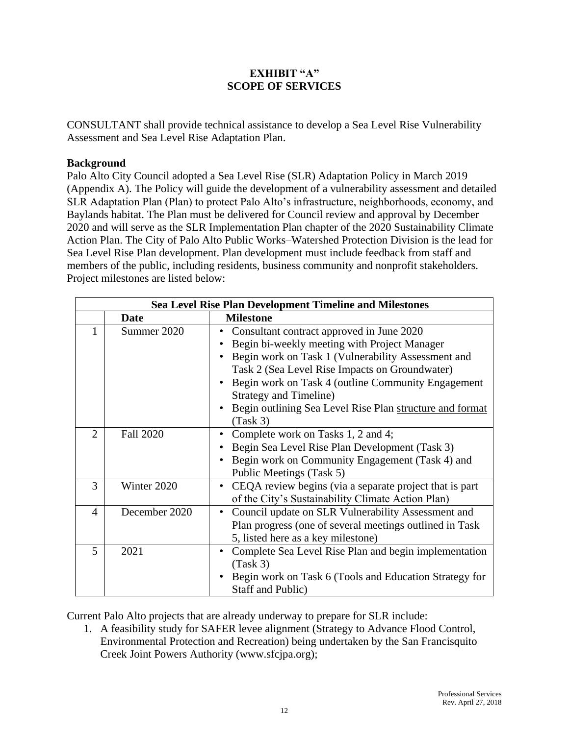#### **EXHIBIT "A" SCOPE OF SERVICES**

CONSULTANT shall provide technical assistance to develop a Sea Level Rise Vulnerability Assessment and Sea Level Rise Adaptation Plan.

#### **Background**

Palo Alto City Council adopted a Sea Level Rise (SLR) Adaptation Policy in March 2019 (Appendix A). The Policy will guide the development of a vulnerability assessment and detailed SLR Adaptation Plan (Plan) to protect Palo Alto's infrastructure, neighborhoods, economy, and Baylands habitat. The Plan must be delivered for Council review and approval by December 2020 and will serve as the SLR Implementation Plan chapter of the 2020 Sustainability Climate Action Plan. The City of Palo Alto Public Works–Watershed Protection Division is the lead for Sea Level Rise Plan development. Plan development must include feedback from staff and members of the public, including residents, business community and nonprofit stakeholders. Project milestones are listed below:

| <b>Sea Level Rise Plan Development Timeline and Milestones</b> |                  |                                                                                                                                                                                                                                                                                                                                                                  |  |  |
|----------------------------------------------------------------|------------------|------------------------------------------------------------------------------------------------------------------------------------------------------------------------------------------------------------------------------------------------------------------------------------------------------------------------------------------------------------------|--|--|
|                                                                | Date             | <b>Milestone</b>                                                                                                                                                                                                                                                                                                                                                 |  |  |
|                                                                | Summer 2020      | Consultant contract approved in June 2020<br>Begin bi-weekly meeting with Project Manager<br>Begin work on Task 1 (Vulnerability Assessment and<br>Task 2 (Sea Level Rise Impacts on Groundwater)<br>Begin work on Task 4 (outline Community Engagement<br><b>Strategy and Timeline)</b><br>Begin outlining Sea Level Rise Plan structure and format<br>(Task 3) |  |  |
| $\overline{2}$                                                 | <b>Fall 2020</b> | Complete work on Tasks 1, 2 and 4;<br>Begin Sea Level Rise Plan Development (Task 3)<br>Begin work on Community Engagement (Task 4) and<br>Public Meetings (Task 5)                                                                                                                                                                                              |  |  |
| 3                                                              | Winter 2020      | CEQA review begins (via a separate project that is part<br>of the City's Sustainability Climate Action Plan)                                                                                                                                                                                                                                                     |  |  |
| 4                                                              | December 2020    | Council update on SLR Vulnerability Assessment and<br>٠<br>Plan progress (one of several meetings outlined in Task<br>5, listed here as a key milestone)                                                                                                                                                                                                         |  |  |
| 5                                                              | 2021             | Complete Sea Level Rise Plan and begin implementation<br>(Task 3)<br>Begin work on Task 6 (Tools and Education Strategy for<br>Staff and Public)                                                                                                                                                                                                                 |  |  |

Current Palo Alto projects that are already underway to prepare for SLR include:

1. A feasibility study for SAFER levee alignment (Strategy to Advance Flood Control, Environmental Protection and Recreation) being undertaken by the San Francisquito Creek Joint Powers Authority (www.sfcjpa.org);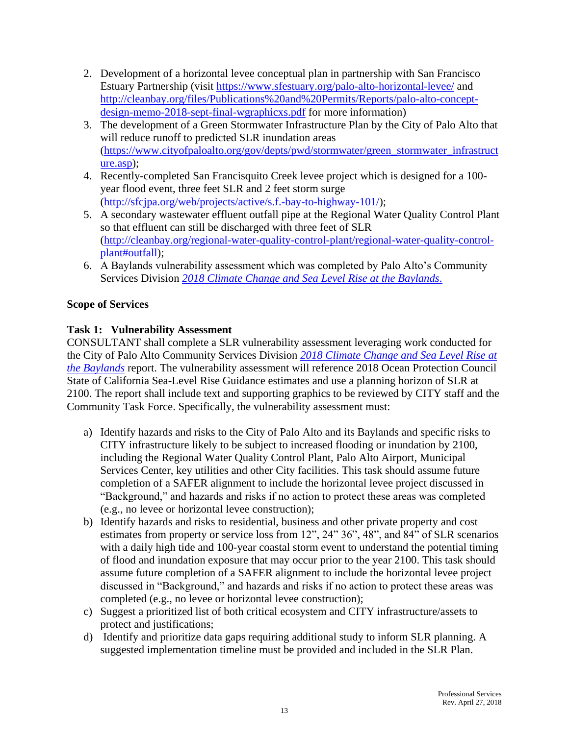- 2. Development of a horizontal levee conceptual plan in partnership with San Francisco Estuary Partnership (visit<https://www.sfestuary.org/palo-alto-horizontal-levee/> and [http://cleanbay.org/files/Publications%20and%20Permits/Reports/palo-alto-concept](http://cleanbay.org/files/Publications%20and%20Permits/Reports/palo-alto-concept-design-memo-2018-sept-final-wgraphicxs.pdf)[design-memo-2018-sept-final-wgraphicxs.pdf](http://cleanbay.org/files/Publications%20and%20Permits/Reports/palo-alto-concept-design-memo-2018-sept-final-wgraphicxs.pdf) for more information)
- 3. The development of a Green Stormwater Infrastructure Plan by the City of Palo Alto that will reduce runoff to predicted SLR inundation areas [\(https://www.cityofpaloalto.org/gov/depts/pwd/stormwater/green\\_stormwater\\_infrastruct](https://www.cityofpaloalto.org/gov/depts/pwd/stormwater/green_stormwater_infrastructure.asp) [ure.asp\)](https://www.cityofpaloalto.org/gov/depts/pwd/stormwater/green_stormwater_infrastructure.asp);
- 4. Recently-completed San Francisquito Creek levee project which is designed for a 100 year flood event, three feet SLR and 2 feet storm surge [\(http://sfcjpa.org/web/projects/active/s.f.-bay-to-highway-101/\)](http://sfcjpa.org/web/projects/active/s.f.-bay-to-highway-101/);
- 5. A secondary wastewater effluent outfall pipe at the Regional Water Quality Control Plant so that effluent can still be discharged with three feet of SLR [\(http://cleanbay.org/regional-water-quality-control-plant/regional-water-quality-control](http://cleanbay.org/regional-water-quality-control-plant/regional-water-quality-control-plant#outfall)[plant#outfall\)](http://cleanbay.org/regional-water-quality-control-plant/regional-water-quality-control-plant#outfall);
- 6. A Baylands vulnerability assessment which was completed by Palo Alto's Community Services Division *[2018 Climate Change and Sea Level Rise at the Baylands](https://www.cityofpaloalto.org/civicax/filebank/documents/67887)*.

# **Scope of Services**

# **Task 1: Vulnerability Assessment**

CONSULTANT shall complete a SLR vulnerability assessment leveraging work conducted for the City of Palo Alto Community Services Division *[2018 Climate Change and Sea Level Rise at](https://www.cityofpaloalto.org/civicax/filebank/documents/67887)  [the Baylands](https://www.cityofpaloalto.org/civicax/filebank/documents/67887)* report. The vulnerability assessment will reference 2018 Ocean Protection Council State of California Sea-Level Rise Guidance estimates and use a planning horizon of SLR at 2100. The report shall include text and supporting graphics to be reviewed by CITY staff and the Community Task Force. Specifically, the vulnerability assessment must:

- a) Identify hazards and risks to the City of Palo Alto and its Baylands and specific risks to CITY infrastructure likely to be subject to increased flooding or inundation by 2100, including the Regional Water Quality Control Plant, Palo Alto Airport, Municipal Services Center, key utilities and other City facilities. This task should assume future completion of a SAFER alignment to include the horizontal levee project discussed in "Background," and hazards and risks if no action to protect these areas was completed (e.g., no levee or horizontal levee construction);
- b) Identify hazards and risks to residential, business and other private property and cost estimates from property or service loss from 12", 24" 36", 48", and 84" of SLR scenarios with a daily high tide and 100-year coastal storm event to understand the potential timing of flood and inundation exposure that may occur prior to the year 2100. This task should assume future completion of a SAFER alignment to include the horizontal levee project discussed in "Background," and hazards and risks if no action to protect these areas was completed (e.g., no levee or horizontal levee construction);
- c) Suggest a prioritized list of both critical ecosystem and CITY infrastructure/assets to protect and justifications;
- d) Identify and prioritize data gaps requiring additional study to inform SLR planning. A suggested implementation timeline must be provided and included in the SLR Plan.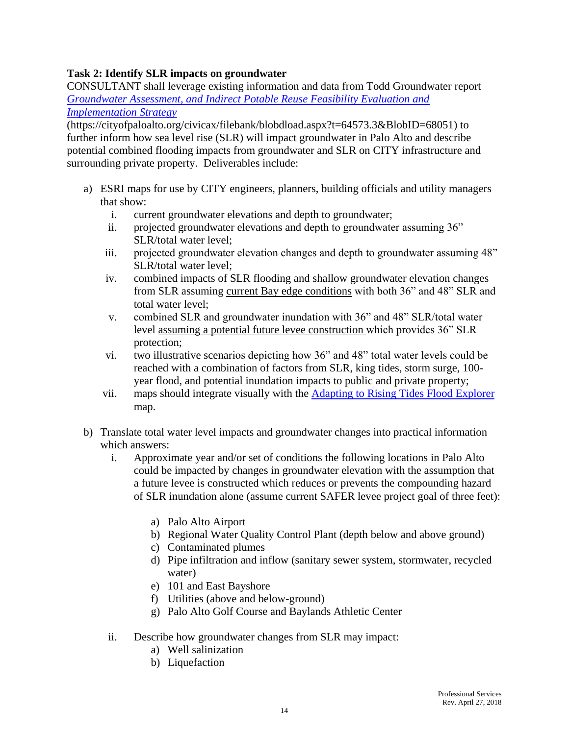# **Task 2: Identify SLR impacts on groundwater**

CONSULTANT shall leverage existing information and data from Todd Groundwater report *[Groundwater Assessment, and Indirect Potable Reuse Feasibility Evaluation and](https://cityofpaloalto.org/civicax/filebank/blobdload.aspx?t=64573.3&BlobID=68051)  [Implementation Strategy](https://cityofpaloalto.org/civicax/filebank/blobdload.aspx?t=64573.3&BlobID=68051)*

(https://cityofpaloalto.org/civicax/filebank/blobdload.aspx?t=64573.3&BlobID=68051) to further inform how sea level rise (SLR) will impact groundwater in Palo Alto and describe potential combined flooding impacts from groundwater and SLR on CITY infrastructure and surrounding private property. Deliverables include:

- a) ESRI maps for use by CITY engineers, planners, building officials and utility managers that show:
	- i. current groundwater elevations and depth to groundwater;
	- ii. projected groundwater elevations and depth to groundwater assuming 36" SLR/total water level;
	- iii. projected groundwater elevation changes and depth to groundwater assuming 48" SLR/total water level;
	- iv. combined impacts of SLR flooding and shallow groundwater elevation changes from SLR assuming current Bay edge conditions with both 36" and 48" SLR and total water level;
	- v. combined SLR and groundwater inundation with 36" and 48" SLR/total water level assuming a potential future levee construction which provides 36" SLR protection;
	- vi. two illustrative scenarios depicting how 36" and 48" total water levels could be reached with a combination of factors from SLR, king tides, storm surge, 100 year flood, and potential inundation impacts to public and private property;
	- vii. maps should integrate visually with the [Adapting to Rising Tides Flood Explorer](https://explorer.adaptingtorisingtides.org/explorer) map.
- b) Translate total water level impacts and groundwater changes into practical information which answers:
	- i. Approximate year and/or set of conditions the following locations in Palo Alto could be impacted by changes in groundwater elevation with the assumption that a future levee is constructed which reduces or prevents the compounding hazard of SLR inundation alone (assume current SAFER levee project goal of three feet):
		- a) Palo Alto Airport
		- b) Regional Water Quality Control Plant (depth below and above ground)
		- c) Contaminated plumes
		- d) Pipe infiltration and inflow (sanitary sewer system, stormwater, recycled water)
		- e) 101 and East Bayshore
		- f) Utilities (above and below-ground)
		- g) Palo Alto Golf Course and Baylands Athletic Center
	- ii. Describe how groundwater changes from SLR may impact:
		- a) Well salinization
		- b) Liquefaction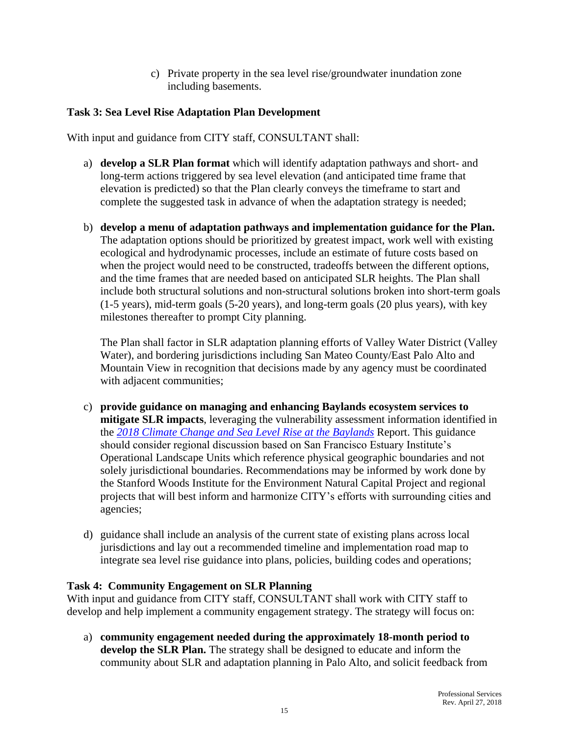c) Private property in the sea level rise/groundwater inundation zone including basements.

#### **Task 3: Sea Level Rise Adaptation Plan Development**

With input and guidance from CITY staff, CONSULTANT shall:

- a) **develop a SLR Plan format** which will identify adaptation pathways and short- and long-term actions triggered by sea level elevation (and anticipated time frame that elevation is predicted) so that the Plan clearly conveys the timeframe to start and complete the suggested task in advance of when the adaptation strategy is needed;
- b) **develop a menu of adaptation pathways and implementation guidance for the Plan.** The adaptation options should be prioritized by greatest impact, work well with existing ecological and hydrodynamic processes, include an estimate of future costs based on when the project would need to be constructed, tradeoffs between the different options, and the time frames that are needed based on anticipated SLR heights. The Plan shall include both structural solutions and non-structural solutions broken into short-term goals (1-5 years), mid-term goals (5-20 years), and long-term goals (20 plus years), with key milestones thereafter to prompt City planning.

The Plan shall factor in SLR adaptation planning efforts of Valley Water District (Valley Water), and bordering jurisdictions including San Mateo County/East Palo Alto and Mountain View in recognition that decisions made by any agency must be coordinated with adjacent communities;

- c) **provide guidance on managing and enhancing Baylands ecosystem services to mitigate SLR impacts**, leveraging the vulnerability assessment information identified in the *[2018 Climate Change and Sea Level Rise at the](https://www.cityofpaloalto.org/civicax/filebank/documents/67887) Baylands* Report. This guidance should consider regional discussion based on San Francisco Estuary Institute's Operational Landscape Units which reference physical geographic boundaries and not solely jurisdictional boundaries. Recommendations may be informed by work done by the Stanford Woods Institute for the Environment Natural Capital Project and regional projects that will best inform and harmonize CITY's efforts with surrounding cities and agencies;
- d) guidance shall include an analysis of the current state of existing plans across local jurisdictions and lay out a recommended timeline and implementation road map to integrate sea level rise guidance into plans, policies, building codes and operations;

#### **Task 4: Community Engagement on SLR Planning**

With input and guidance from CITY staff, CONSULTANT shall work with CITY staff to develop and help implement a community engagement strategy. The strategy will focus on:

a) **community engagement needed during the approximately 18-month period to develop the SLR Plan.** The strategy shall be designed to educate and inform the community about SLR and adaptation planning in Palo Alto, and solicit feedback from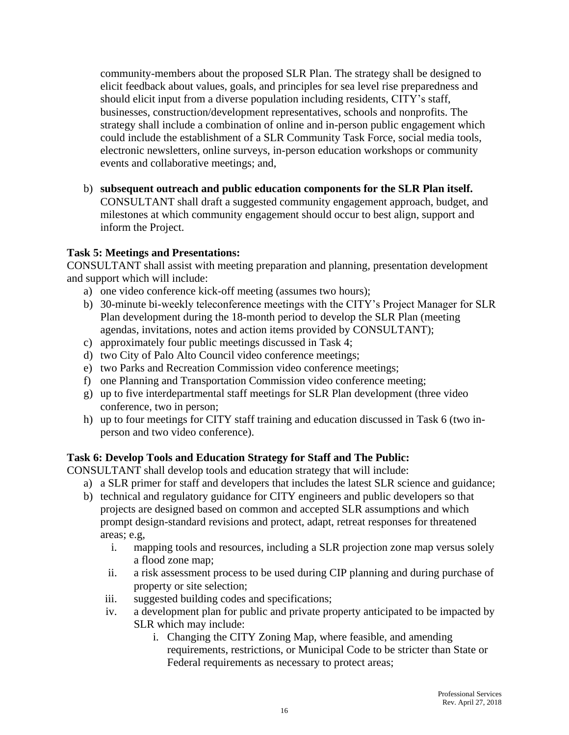community-members about the proposed SLR Plan. The strategy shall be designed to elicit feedback about values, goals, and principles for sea level rise preparedness and should elicit input from a diverse population including residents, CITY's staff, businesses, construction/development representatives, schools and nonprofits. The strategy shall include a combination of online and in-person public engagement which could include the establishment of a SLR Community Task Force, social media tools, electronic newsletters, online surveys, in-person education workshops or community events and collaborative meetings; and,

b) **subsequent outreach and public education components for the SLR Plan itself.**  CONSULTANT shall draft a suggested community engagement approach, budget, and milestones at which community engagement should occur to best align, support and inform the Project.

# **Task 5: Meetings and Presentations:**

CONSULTANT shall assist with meeting preparation and planning, presentation development and support which will include:

- a) one video conference kick-off meeting (assumes two hours);
- b) 30-minute bi-weekly teleconference meetings with the CITY's Project Manager for SLR Plan development during the 18-month period to develop the SLR Plan (meeting agendas, invitations, notes and action items provided by CONSULTANT);
- c) approximately four public meetings discussed in Task 4;
- d) two City of Palo Alto Council video conference meetings;
- e) two Parks and Recreation Commission video conference meetings;
- f) one Planning and Transportation Commission video conference meeting;
- g) up to five interdepartmental staff meetings for SLR Plan development (three video conference, two in person;
- h) up to four meetings for CITY staff training and education discussed in Task 6 (two inperson and two video conference).

#### **Task 6: Develop Tools and Education Strategy for Staff and The Public:**

CONSULTANT shall develop tools and education strategy that will include:

- a) a SLR primer for staff and developers that includes the latest SLR science and guidance;
- b) technical and regulatory guidance for CITY engineers and public developers so that projects are designed based on common and accepted SLR assumptions and which prompt design-standard revisions and protect, adapt, retreat responses for threatened areas; e.g,
	- i. mapping tools and resources, including a SLR projection zone map versus solely a flood zone map;
	- ii. a risk assessment process to be used during CIP planning and during purchase of property or site selection;
	- iii. suggested building codes and specifications;
	- iv. a development plan for public and private property anticipated to be impacted by SLR which may include:
		- i. Changing the CITY Zoning Map, where feasible, and amending requirements, restrictions, or Municipal Code to be stricter than State or Federal requirements as necessary to protect areas;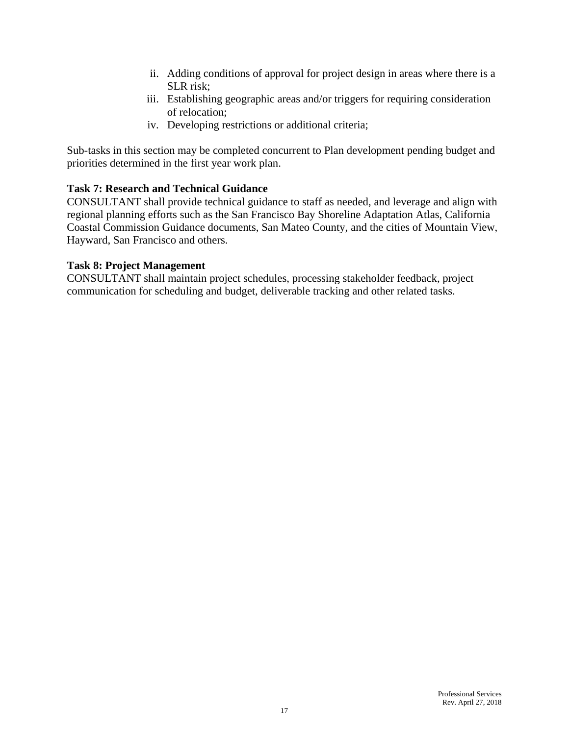- ii. Adding conditions of approval for project design in areas where there is a SLR risk;
- iii. Establishing geographic areas and/or triggers for requiring consideration of relocation;
- iv. Developing restrictions or additional criteria;

Sub-tasks in this section may be completed concurrent to Plan development pending budget and priorities determined in the first year work plan.

# **Task 7: Research and Technical Guidance**

CONSULTANT shall provide technical guidance to staff as needed, and leverage and align with regional planning efforts such as the San Francisco Bay Shoreline Adaptation Atlas, California Coastal Commission Guidance documents, San Mateo County, and the cities of Mountain View, Hayward, San Francisco and others.

# **Task 8: Project Management**

CONSULTANT shall maintain project schedules, processing stakeholder feedback, project communication for scheduling and budget, deliverable tracking and other related tasks.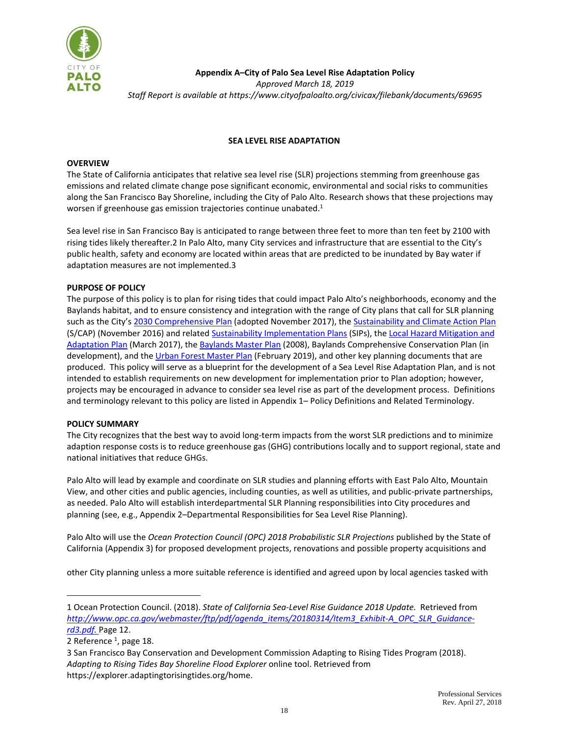

**Appendix A–City of Palo Sea Level Rise Adaptation Policy** *Approved March 18, 2019 Staff Report is available a[t https://www.cityofpaloalto.org/civicax/filebank/documents/69695](https://www.cityofpaloalto.org/civicax/filebank/documents/69695)*

#### **SEA LEVEL RISE ADAPTATION**

#### **OVERVIEW**

The State of California anticipates that relative sea level rise (SLR) projections stemming from greenhouse gas emissions and related climate change pose significant economic, environmental and social risks to communities along the San Francisco Bay Shoreline, including the City of Palo Alto. Research shows that these projections may worsen if greenhouse gas emission trajectories continue unabated.<sup>1</sup>

Sea level rise in San Francisco Bay is anticipated to range between three feet to more than ten feet by 2100 with rising tides likely thereafter.2 In Palo Alto, many City services and infrastructure that are essential to the City's public health, safety and economy are located within areas that are predicted to be inundated by Bay water if adaptation measures are not implemented.3

#### **PURPOSE OF POLICY**

The purpose of this policy is to plan for rising tides that could impact Palo Alto's neighborhoods, economy and the Baylands habitat, and to ensure consistency and integration with the range of City plans that call for SLR planning such as the City's [2030 Comprehensive Plan](https://www.cityofpaloalto.org/civicax/filebank/documents/62915) (adopted November 2017), th[e Sustainability and Climate Action Plan](https://www.cityofpaloalto.org/civicax/filebank/documents/64814) (S/CAP) (November 2016) and related [Sustainability Implementation Plans](https://www.cityofpaloalto.org/civicax/filebank/documents/63141) (SIPs), th[e Local Hazard Mitigation and](http://cityofpaloalto.org/civicax/filebank/documents/61523)  [Adaptation Plan](http://cityofpaloalto.org/civicax/filebank/documents/61523) (March 2017), the [Baylands Master Plan](https://www.cityofpaloalto.org/civicax/filebank/documents/14882/) (2008), Baylands Comprehensive Conservation Plan (in development), and th[e Urban Forest Master Plan](https://www.cityofpaloalto.org/civicax/filebank/documents/69307) (February 2019), and other key planning documents that are produced. This policy will serve as a blueprint for the development of a Sea Level Rise Adaptation Plan, and is not intended to establish requirements on new development for implementation prior to Plan adoption; however, projects may be encouraged in advance to consider sea level rise as part of the development process. Definitions and terminology relevant to this policy are listed in Appendix 1– Policy Definitions and Related Terminology.

#### **POLICY SUMMARY**

The City recognizes that the best way to avoid long-term impacts from the worst SLR predictions and to minimize adaption response costs is to reduce greenhouse gas (GHG) contributions locally and to support regional, state and national initiatives that reduce GHGs.

Palo Alto will lead by example and coordinate on SLR studies and planning efforts with East Palo Alto, Mountain View, and other cities and public agencies, including counties, as well as utilities, and public-private partnerships, as needed. Palo Alto will establish interdepartmental SLR Planning responsibilities into City procedures and planning (see, e.g., Appendix 2–Departmental Responsibilities for Sea Level Rise Planning).

Palo Alto will use the *Ocean Protection Council (OPC) 2018 Probabilistic SLR Projections* published by the State of California (Appendix 3) for proposed development projects, renovations and possible property acquisitions and

other City planning unless a more suitable reference is identified and agreed upon by local agencies tasked with

÷.

<sup>1</sup> Ocean Protection Council. (2018). *State of California Sea-Level Rise Guidance 2018 Update.* Retrieved from *[http://www.opc.ca.gov/webmaster/ftp/pdf/agenda\\_items/20180314/Item3\\_Exhibit-A\\_OPC\\_SLR\\_Guidance](http://www.opc.ca.gov/webmaster/ftp/pdf/agenda_items/20180314/Item3_Exhibit-A_OPC_SLR_Guidance-rd3.pdf)[rd3.pdf.](http://www.opc.ca.gov/webmaster/ftp/pdf/agenda_items/20180314/Item3_Exhibit-A_OPC_SLR_Guidance-rd3.pdf)* Page 12.

<sup>2</sup> Reference <sup>1</sup>, page 18.

<sup>3</sup> San Francisco Bay Conservation and Development Commission Adapting to Rising Tides Program (2018). *Adapting to Rising Tides Bay Shoreline Flood Explorer* online tool. Retrieved from https://explorer.adaptingtorisingtides.org/home.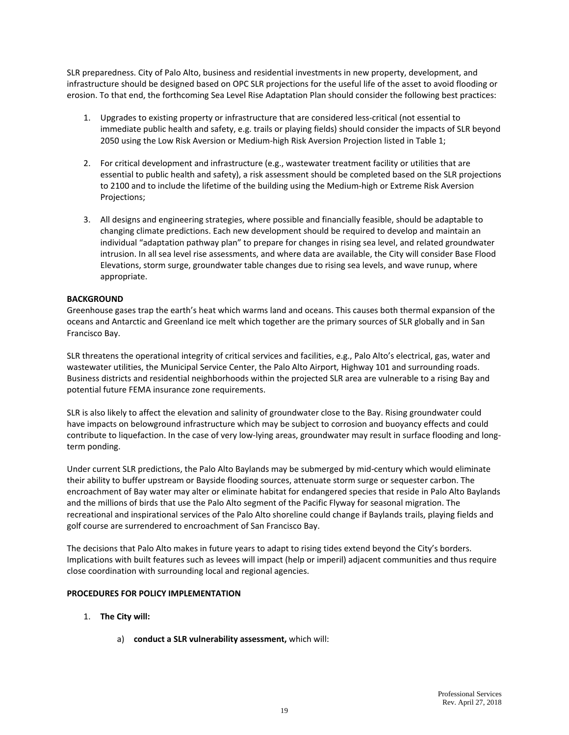SLR preparedness. City of Palo Alto, business and residential investments in new property, development, and infrastructure should be designed based on OPC SLR projections for the useful life of the asset to avoid flooding or erosion. To that end, the forthcoming Sea Level Rise Adaptation Plan should consider the following best practices:

- 1. Upgrades to existing property or infrastructure that are considered less-critical (not essential to immediate public health and safety, e.g. trails or playing fields) should consider the impacts of SLR beyond 2050 using the Low Risk Aversion or Medium-high Risk Aversion Projection listed in Table 1;
- 2. For critical development and infrastructure (e.g., wastewater treatment facility or utilities that are essential to public health and safety), a risk assessment should be completed based on the SLR projections to 2100 and to include the lifetime of the building using the Medium-high or Extreme Risk Aversion Projections;
- 3. All designs and engineering strategies, where possible and financially feasible, should be adaptable to changing climate predictions. Each new development should be required to develop and maintain an individual "adaptation pathway plan" to prepare for changes in rising sea level, and related groundwater intrusion. In all sea level rise assessments, and where data are available, the City will consider Base Flood Elevations, storm surge, groundwater table changes due to rising sea levels, and wave runup, where appropriate.

#### **BACKGROUND**

Greenhouse gases trap the earth's heat which warms land and oceans. This causes both thermal expansion of the oceans and Antarctic and Greenland ice melt which together are the primary sources of SLR globally and in San Francisco Bay.

SLR threatens the operational integrity of critical services and facilities, e.g., Palo Alto's electrical, gas, water and wastewater utilities, the Municipal Service Center, the Palo Alto Airport, Highway 101 and surrounding roads. Business districts and residential neighborhoods within the projected SLR area are vulnerable to a rising Bay and potential future FEMA insurance zone requirements.

SLR is also likely to affect the elevation and salinity of groundwater close to the Bay. Rising groundwater could have impacts on belowground infrastructure which may be subject to corrosion and buoyancy effects and could contribute to liquefaction. In the case of very low-lying areas, groundwater may result in surface flooding and longterm ponding.

Under current SLR predictions, the Palo Alto Baylands may be submerged by mid-century which would eliminate their ability to buffer upstream or Bayside flooding sources, attenuate storm surge or sequester carbon. The encroachment of Bay water may alter or eliminate habitat for endangered species that reside in Palo Alto Baylands and the millions of birds that use the Palo Alto segment of the Pacific Flyway for seasonal migration. The recreational and inspirational services of the Palo Alto shoreline could change if Baylands trails, playing fields and golf course are surrendered to encroachment of San Francisco Bay.

The decisions that Palo Alto makes in future years to adapt to rising tides extend beyond the City's borders. Implications with built features such as levees will impact (help or imperil) adjacent communities and thus require close coordination with surrounding local and regional agencies.

#### **PROCEDURES FOR POLICY IMPLEMENTATION**

- 1. **The City will:**
	- a) **conduct a SLR vulnerability assessment,** which will: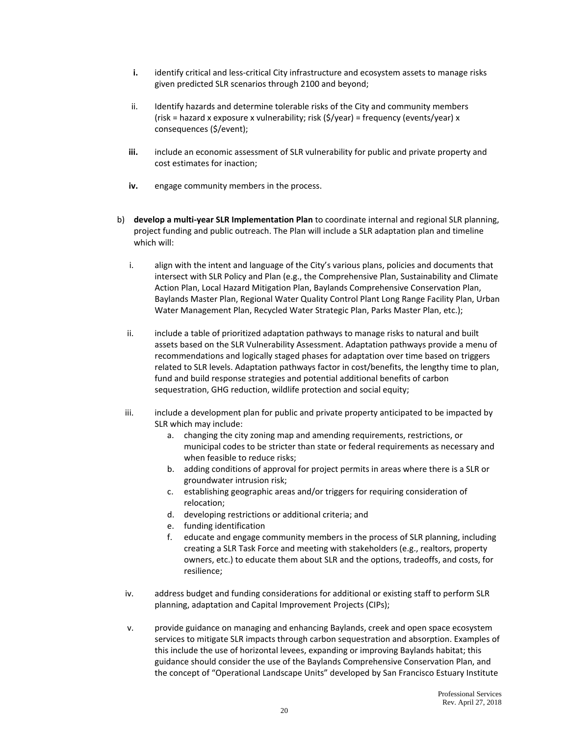- **i.** identify critical and less-critical City infrastructure and ecosystem assets to manage risks given predicted SLR scenarios through 2100 and beyond;
- ii. Identify hazards and determine tolerable risks of the City and community members (risk = hazard x exposure x vulnerability; risk (\$/year) = frequency (events/year) x consequences (\$/event);
- **iii.** include an economic assessment of SLR vulnerability for public and private property and cost estimates for inaction;
- **iv.** engage community members in the process.
- b) **develop a multi-year SLR Implementation Plan** to coordinate internal and regional SLR planning, project funding and public outreach. The Plan will include a SLR adaptation plan and timeline which will:
	- i. align with the intent and language of the City's various plans, policies and documents that intersect with SLR Policy and Plan (e.g., the Comprehensive Plan, Sustainability and Climate Action Plan, Local Hazard Mitigation Plan, Baylands Comprehensive Conservation Plan, Baylands Master Plan, Regional Water Quality Control Plant Long Range Facility Plan, Urban Water Management Plan, Recycled Water Strategic Plan, Parks Master Plan, etc.);
	- ii. include a table of prioritized adaptation pathways to manage risks to natural and built assets based on the SLR Vulnerability Assessment. Adaptation pathways provide a menu of recommendations and logically staged phases for adaptation over time based on triggers related to SLR levels. Adaptation pathways factor in cost/benefits, the lengthy time to plan, fund and build response strategies and potential additional benefits of carbon sequestration, GHG reduction, wildlife protection and social equity;
	- iii. include a development plan for public and private property anticipated to be impacted by SLR which may include:
		- a. changing the city zoning map and amending requirements, restrictions, or municipal codes to be stricter than state or federal requirements as necessary and when feasible to reduce risks;
		- b. adding conditions of approval for project permits in areas where there is a SLR or groundwater intrusion risk;
		- c. establishing geographic areas and/or triggers for requiring consideration of relocation;
		- d. developing restrictions or additional criteria; and
		- e. funding identification
		- f. educate and engage community members in the process of SLR planning, including creating a SLR Task Force and meeting with stakeholders (e.g., realtors, property owners, etc.) to educate them about SLR and the options, tradeoffs, and costs, for resilience;
	- iv. address budget and funding considerations for additional or existing staff to perform SLR planning, adaptation and Capital Improvement Projects (CIPs);
	- v. provide guidance on managing and enhancing Baylands, creek and open space ecosystem services to mitigate SLR impacts through carbon sequestration and absorption. Examples of this include the use of horizontal levees, expanding or improving Baylands habitat; this guidance should consider the use of the Baylands Comprehensive Conservation Plan, and the concept of "Operational Landscape Units" developed by San Francisco Estuary Institute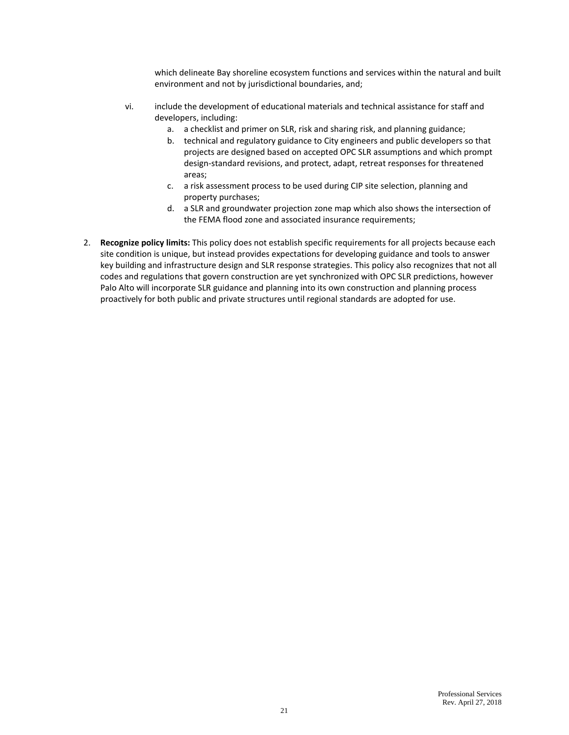which delineate Bay shoreline ecosystem functions and services within the natural and built environment and not by jurisdictional boundaries, and;

- vi. include the development of educational materials and technical assistance for staff and developers, including:
	- a. a checklist and primer on SLR, risk and sharing risk, and planning guidance;
	- b. technical and regulatory guidance to City engineers and public developers so that projects are designed based on accepted OPC SLR assumptions and which prompt design-standard revisions, and protect, adapt, retreat responses for threatened areas;
	- c. a risk assessment process to be used during CIP site selection, planning and property purchases;
	- d. a SLR and groundwater projection zone map which also shows the intersection of the FEMA flood zone and associated insurance requirements;
- 2. **Recognize policy limits:** This policy does not establish specific requirements for all projects because each site condition is unique, but instead provides expectations for developing guidance and tools to answer key building and infrastructure design and SLR response strategies. This policy also recognizes that not all codes and regulations that govern construction are yet synchronized with OPC SLR predictions, however Palo Alto will incorporate SLR guidance and planning into its own construction and planning process proactively for both public and private structures until regional standards are adopted for use.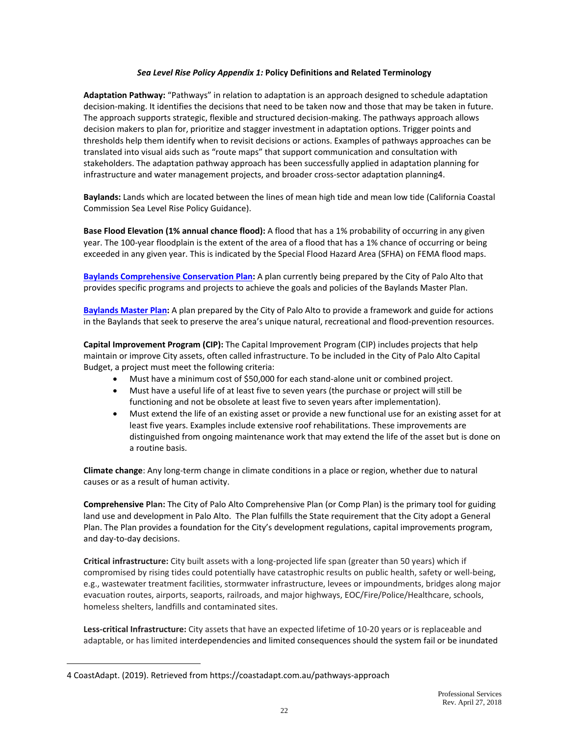#### *Sea Level Rise Policy Appendix 1:* **Policy Definitions and Related Terminology**

**Adaptation Pathway:** "Pathways" in relation to adaptation is an approach designed to schedule adaptation decision-making. It identifies the decisions that need to be taken now and those that may be taken in future. The approach supports strategic, flexible and structured decision-making. The pathways approach allows decision makers to plan for, prioritize and stagger investment in adaptation options. Trigger points and thresholds help them identify when to revisit decisions or actions. Examples of pathways approaches can be translated into visual aids such as "route maps" that support communication and consultation with stakeholders. The adaptation pathway approach has been successfully applied in adaptation planning for infrastructure and water management projects, and broader cross-sector adaptation planning4.

**Baylands:** Lands which are located between the lines of mean high tide and mean low tide (California Coastal Commission Sea Level Rise Policy Guidance).

**Base Flood Elevation (1% annual chance flood):** A flood that has a 1% probability of occurring in any given year. The 100-year floodplain is the extent of the area of a flood that has a 1% chance of occurring or being exceeded in any given year. This is indicated by the Special Flood Hazard Area (SFHA) on FEMA flood maps.

**[Baylands Comprehensive Conservation Plan:](https://www.cityofpaloalto.org/gov/depts/csd/parks/preserves/baylands_comprehensive_conservation_plan.asp)** A plan currently being prepared by the City of Palo Alto that provides specific programs and projects to achieve the goals and policies of the Baylands Master Plan.

**[Baylands Master Plan:](https://www.cityofpaloalto.org/civicax/filebank/documents/14882)** A plan prepared by the City of Palo Alto to provide a framework and guide for actions in the Baylands that seek to preserve the area's unique natural, recreational and flood-prevention resources.

**Capital Improvement Program (CIP):** The Capital Improvement Program (CIP) includes projects that help maintain or improve City assets, often called infrastructure. To be included in the City of Palo Alto Capital Budget, a project must meet the following criteria:

- Must have a minimum cost of \$50,000 for each stand-alone unit or combined project.
- Must have a useful life of at least five to seven years (the purchase or project will still be functioning and not be obsolete at least five to seven years after implementation).
- Must extend the life of an existing asset or provide a new functional use for an existing asset for at least five years. Examples include extensive roof rehabilitations. These improvements are distinguished from ongoing maintenance work that may extend the life of the asset but is done on a routine basis.

**Climate change**: Any long-term change in climate conditions in a place or region, whether due to natural causes or as a result of human activity.

**Comprehensive Plan:** The City of Palo Alto Comprehensive Plan (or Comp Plan) is the primary tool for guiding land use and development in Palo Alto. The Plan fulfills the State requirement that the City adopt a General Plan. The Plan provides a foundation for the City's development regulations, capital improvements program, and day-to-day decisions.

**Critical infrastructure:** City built assets with a long-projected life span (greater than 50 years) which if compromised by rising tides could potentially have catastrophic results on public health, safety or well-being, e.g., wastewater treatment facilities, stormwater infrastructure, levees or impoundments, bridges along major evacuation routes, airports, seaports, railroads, and major highways, EOC/Fire/Police/Healthcare, schools, homeless shelters, landfills and contaminated sites.

**Less-critical Infrastructure:** City assets that have an expected lifetime of 10-20 years or is replaceable and adaptable, or has limited interdependencies and limited consequences should the system fail or be inundated

<sup>4</sup> CoastAdapt. (2019). Retrieved from https://coastadapt.com.au/pathways-approach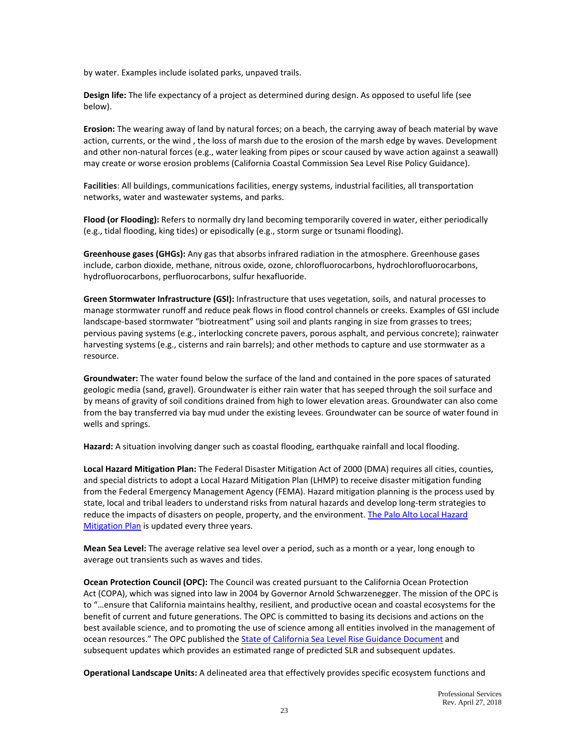by water. Examples include isolated parks, unpaved trails.

**Design life:** The life expectancy of a project as determined during design. As opposed to useful life (see below).

**Erosion:** The wearing away of land by natural forces; on a beach, the carrying away of beach material by wave action, currents, or the wind , the loss of marsh due to the erosion of the marsh edge by waves. Development and other non-natural forces (e.g., water leaking from pipes or scour caused by wave action against a seawall) may create or worse erosion problems (California Coastal Commission Sea Level Rise Policy Guidance).

**Facilities**: All buildings, communications facilities, energy systems, industrial facilities, all transportation networks, water and wastewater systems, and parks.

**Flood (or Flooding):** Refers to normally dry land becoming temporarily covered in water, either periodically (e.g., tidal flooding, king tides) or episodically (e.g., storm surge or tsunami flooding).

**Greenhouse gases (GHGs):** Any gas that absorbs infrared radiation in the atmosphere. Greenhouse gases include, carbon dioxide, methane, nitrous oxide, ozone, chlorofluorocarbons, hydrochlorofluorocarbons, hydrofluorocarbons, perfluorocarbons, sulfur hexafluoride.

**Green Stormwater Infrastructure (GSI):** Infrastructure that uses vegetation, soils, and natural processes to manage stormwater runoff and reduce peak flows in flood control channels or creeks. Examples of GSI include landscape-based stormwater "biotreatment" using soil and plants ranging in size from grasses to trees; pervious paving systems (e.g., interlocking concrete pavers, porous asphalt, and pervious concrete); rainwater harvesting systems (e.g., cisterns and rain barrels); and other methods to capture and use stormwater as a resource.

**Groundwater:** The water found below the surface of the land and contained in the pore spaces of saturated geologic media (sand, gravel). Groundwater is either rain water that has seeped through the soil surface and by means of gravity of soil conditions drained from high to lower elevation areas. Groundwater can also come from the bay transferred via bay mud under the existing levees. Groundwater can be source of water found in wells and springs.

**Hazard:** A situation involving danger such as coastal flooding, earthquake rainfall and local flooding.

**Local Hazard Mitigation Plan:** The Federal Disaster Mitigation Act of 2000 (DMA) requires all cities, counties, and special districts to adopt a Local Hazard Mitigation Plan (LHMP) to receive disaster mitigation funding from the Federal Emergency Management Agency (FEMA). Hazard mitigation planning is the process used by state, local and tribal leaders to understand risks from natural hazards and develop long-term strategies to reduce the impacts of disasters on people, property, and the environment. [The Palo Alto Local Hazard](https://www.cityofpaloalto.org/services/public_safety/plans_and_information/lhmap.asp)  [Mitigation Plan](https://www.cityofpaloalto.org/services/public_safety/plans_and_information/lhmap.asp) is updated every three years.

**Mean Sea Level:** The average relative sea level over a period, such as a month or a year, long enough to average out transients such as waves and tides.

**Ocean Protection Council (OPC):** The Council was created pursuant to the [California Ocean Protection](http://www.opc.ca.gov/?page_id=265)  [Act](http://www.opc.ca.gov/?page_id=265) (COPA), which was signed into law in 2004 by Governor Arnold Schwarzenegger. The mission of the OPC is to "…ensure that California maintains healthy, resilient, and productive ocean and coastal ecosystems for the benefit of current and future generations. The OPC is committed to basing its decisions and actions on the best available science, and to promoting the use of science among all entities involved in the management of ocean resources." The OPC published the State of California Sea [Level Rise Guidance Document](http://www.opc.ca.gov/updating-californias-sea-level-rise-guidance/) and subsequent updates which provides an estimated range of predicted SLR and subsequent updates.

**Operational Landscape Units:** A delineated area that effectively provides specific ecosystem functions and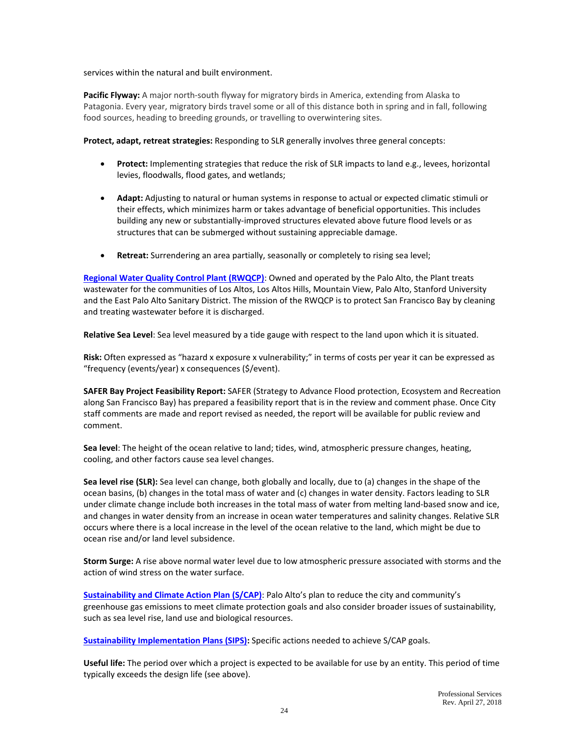services within the natural and built environment.

**Pacific Flyway:** A major north-south flyway for migratory birds in America, extending from Alaska to Patagonia. Every year, migratory birds travel some or all of this distance both in spring and in fall, following food sources, heading to breeding grounds, or travelling to overwintering sites.

**Protect, adapt, retreat strategies:** Responding to SLR generally involves three general concepts:

- **Protect:** Implementing strategies that reduce the risk of SLR impacts to land e.g., levees, horizontal levies, floodwalls, flood gates, and wetlands;
- **Adapt:** Adjusting to natural or human systems in response to actual or expected climatic stimuli or their effects, which minimizes harm or takes advantage of beneficial opportunities. This includes building any new or substantially-improved structures elevated above future flood levels or as structures that can be submerged without sustaining appreciable damage.
- **Retreat:** Surrendering an area partially, seasonally or completely to rising sea level;

**[Regional Water Quality Control Plant \(RWQCP\)](http://cleanbay.org/regional-water-quality-control-plant/regional-water-quality-control-plant)**: Owned and operated by the Palo Alto, the Plant treats wastewater for the communities of Los Altos, Los Altos Hills, Mountain View, Palo Alto, Stanford University and the East Palo Alto Sanitary District. The mission of the RWQCP is to protect San Francisco Bay by cleaning and treating wastewater before it is discharged.

**Relative Sea Level**: Sea level measured by a tide gauge with respect to the land upon which it is situated.

**Risk:** Often expressed as "hazard x exposure x vulnerability;" in terms of costs per year it can be expressed as "frequency (events/year) x consequences (\$/event).

**SAFER Bay Project Feasibility Report:** SAFER (Strategy to Advance Flood protection, Ecosystem and Recreation along San Francisco Bay) has prepared a feasibility report that is in the review and comment phase. Once City staff comments are made and report revised as needed, the report will be available for public review and comment.

**Sea level**: The height of the ocean relative to land; tides, wind, atmospheric pressure changes, heating, cooling, and other factors cause sea level changes.

**Sea level rise (SLR):** Sea level can change, both globally and locally, due to (a) changes in the shape of the ocean basins, (b) changes in the total mass of water and (c) changes in water density. Factors leading to SLR under climate change include both increases in the total mass of water from melting land-based snow and ice, and changes in water density from an increase in ocean water temperatures and salinity changes. Relative SLR occurs where there is a local increase in the level of the ocean relative to the land, which might be due to ocean rise and/or land level subsidence.

**Storm Surge:** A rise above normal water level due to low atmospheric pressure associated with storms and the action of wind stress on the water surface.

**[Sustainability and Climate Action Plan \(S/CAP\)](https://www.cityofpaloalto.org/services/sustainability/sustainability_and_climate_action_plan/default.asp)**: Palo Alto's plan to reduce the city and community's greenhouse gas emissions to meet climate protection goals and also consider broader issues of sustainability, such as sea level rise, land use and biological resources.

**[Sustainability Implementation Plans \(SIPS\):](https://www.cityofpaloalto.org/services/sustainability/sustainability_and_climate_action_plan/default.asp)** Specific actions needed to achieve S/CAP goals.

**Useful life:** The period over which a project is expected to be available for use by an entity. This period of time typically exceeds the design life (see above).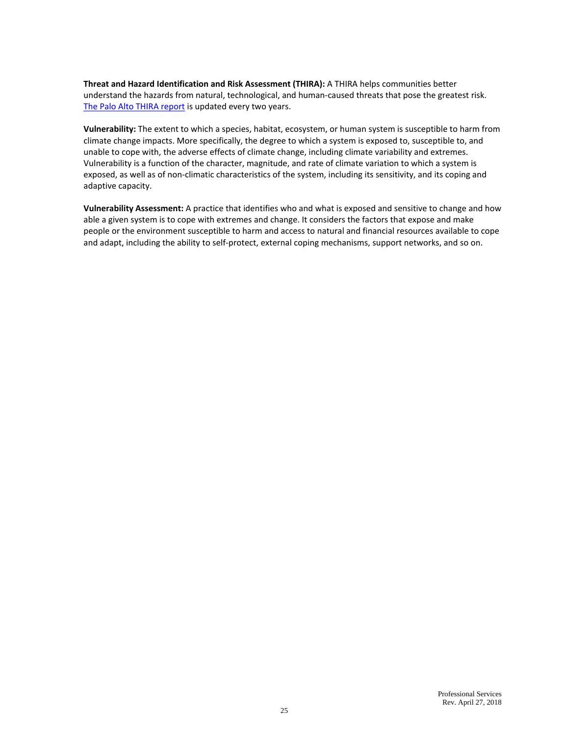**Threat and Hazard Identification and Risk Assessment (THIRA):** A THIRA helps communities better understand the hazards from natural, technological, and human-caused threats that pose the greatest risk. [The Palo Alto THIRA report](https://www.cityofpaloalto.org/services/public_safety/plans_and_information/thira.asp) is updated every two years.

**Vulnerability:** The extent to which a species, habitat, ecosystem, or human system is susceptible to harm from climate change impacts. More specifically, the degree to which a system is exposed to, susceptible to, and unable to cope with, the adverse effects of climate change, including climate variability and extremes. Vulnerability is a function of the character, magnitude, and rate of climate variation to which a system is exposed, as well as of non-climatic characteristics of the system, including its sensitivity, and its coping and adaptive capacity.

**Vulnerability Assessment:** A practice that identifies who and what is exposed and sensitive to change and how able a given system is to cope with extremes and change. It considers the factors that expose and make people or the environment susceptible to harm and access to natural and financial resources available to cope and adapt, including the ability to self-protect, external coping mechanisms, support networks, and so on.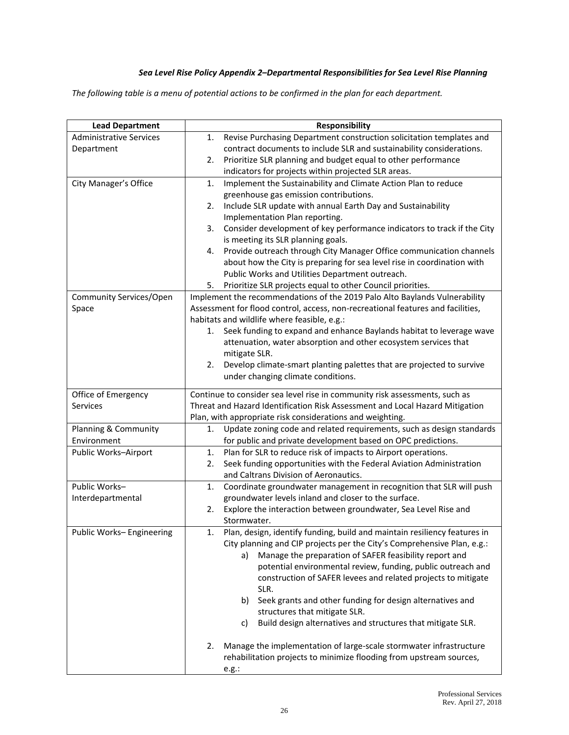# *Sea Level Rise Policy Appendix 2–Departmental Responsibilities for Sea Level Rise Planning*

*The following table is a menu of potential actions to be confirmed in the plan for each department.*

| <b>Lead Department</b>         | Responsibility                                                                                                                                |  |  |  |
|--------------------------------|-----------------------------------------------------------------------------------------------------------------------------------------------|--|--|--|
| <b>Administrative Services</b> | Revise Purchasing Department construction solicitation templates and<br>1.                                                                    |  |  |  |
| Department                     | contract documents to include SLR and sustainability considerations.                                                                          |  |  |  |
|                                | Prioritize SLR planning and budget equal to other performance<br>2.                                                                           |  |  |  |
|                                | indicators for projects within projected SLR areas.                                                                                           |  |  |  |
| City Manager's Office          | Implement the Sustainability and Climate Action Plan to reduce<br>1.                                                                          |  |  |  |
|                                | greenhouse gas emission contributions.                                                                                                        |  |  |  |
|                                | Include SLR update with annual Earth Day and Sustainability<br>2.                                                                             |  |  |  |
|                                | Implementation Plan reporting.                                                                                                                |  |  |  |
|                                | Consider development of key performance indicators to track if the City<br>3.                                                                 |  |  |  |
|                                | is meeting its SLR planning goals.                                                                                                            |  |  |  |
|                                | Provide outreach through City Manager Office communication channels<br>4.                                                                     |  |  |  |
|                                | about how the City is preparing for sea level rise in coordination with                                                                       |  |  |  |
|                                | Public Works and Utilities Department outreach.                                                                                               |  |  |  |
|                                | Prioritize SLR projects equal to other Council priorities.<br>5.                                                                              |  |  |  |
| Community Services/Open        | Implement the recommendations of the 2019 Palo Alto Baylands Vulnerability                                                                    |  |  |  |
| Space                          | Assessment for flood control, access, non-recreational features and facilities,                                                               |  |  |  |
|                                | habitats and wildlife where feasible, e.g.:                                                                                                   |  |  |  |
|                                | Seek funding to expand and enhance Baylands habitat to leverage wave<br>1.<br>attenuation, water absorption and other ecosystem services that |  |  |  |
|                                | mitigate SLR.                                                                                                                                 |  |  |  |
|                                | Develop climate-smart planting palettes that are projected to survive<br>2.                                                                   |  |  |  |
|                                | under changing climate conditions.                                                                                                            |  |  |  |
|                                |                                                                                                                                               |  |  |  |
| Office of Emergency            | Continue to consider sea level rise in community risk assessments, such as                                                                    |  |  |  |
| Services                       | Threat and Hazard Identification Risk Assessment and Local Hazard Mitigation                                                                  |  |  |  |
|                                | Plan, with appropriate risk considerations and weighting.                                                                                     |  |  |  |
| Planning & Community           | Update zoning code and related requirements, such as design standards<br>1.                                                                   |  |  |  |
| Environment                    | for public and private development based on OPC predictions.                                                                                  |  |  |  |
| Public Works-Airport           | Plan for SLR to reduce risk of impacts to Airport operations.<br>1.                                                                           |  |  |  |
|                                | Seek funding opportunities with the Federal Aviation Administration<br>2.                                                                     |  |  |  |
|                                | and Caltrans Division of Aeronautics.                                                                                                         |  |  |  |
| Public Works-                  | Coordinate groundwater management in recognition that SLR will push<br>1.                                                                     |  |  |  |
| Interdepartmental              | groundwater levels inland and closer to the surface.                                                                                          |  |  |  |
|                                | Explore the interaction between groundwater, Sea Level Rise and<br>2.                                                                         |  |  |  |
|                                | Stormwater.                                                                                                                                   |  |  |  |
| Public Works-Engineering       | Plan, design, identify funding, build and maintain resiliency features in<br>1.                                                               |  |  |  |
|                                | City planning and CIP projects per the City's Comprehensive Plan, e.g.:                                                                       |  |  |  |
|                                | Manage the preparation of SAFER feasibility report and<br>a)                                                                                  |  |  |  |
|                                | potential environmental review, funding, public outreach and<br>construction of SAFER levees and related projects to mitigate                 |  |  |  |
|                                | SLR.                                                                                                                                          |  |  |  |
|                                | Seek grants and other funding for design alternatives and<br>b)                                                                               |  |  |  |
|                                | structures that mitigate SLR.                                                                                                                 |  |  |  |
|                                | Build design alternatives and structures that mitigate SLR.<br>c)                                                                             |  |  |  |
|                                |                                                                                                                                               |  |  |  |
|                                | Manage the implementation of large-scale stormwater infrastructure<br>2.                                                                      |  |  |  |
|                                | rehabilitation projects to minimize flooding from upstream sources,                                                                           |  |  |  |
|                                | e.g.:                                                                                                                                         |  |  |  |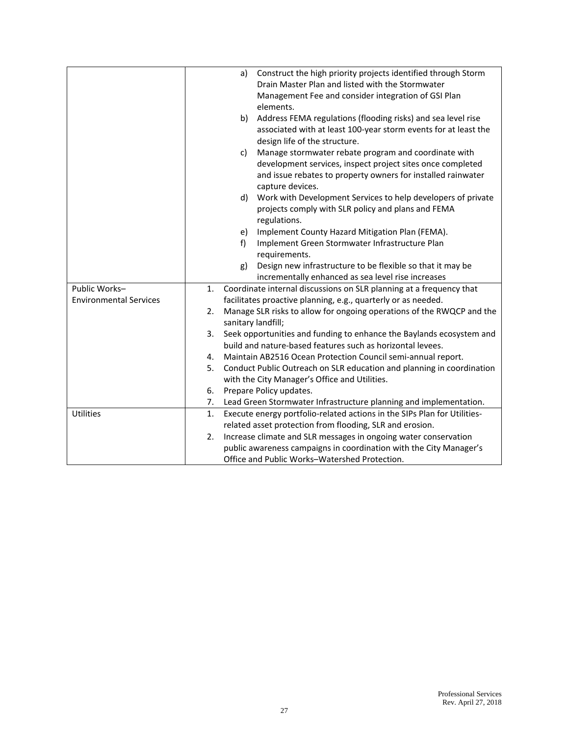|                               |    | a)                 | Construct the high priority projects identified through Storm                    |
|-------------------------------|----|--------------------|----------------------------------------------------------------------------------|
|                               |    |                    | Drain Master Plan and listed with the Stormwater                                 |
|                               |    |                    | Management Fee and consider integration of GSI Plan                              |
|                               |    |                    | elements.                                                                        |
|                               |    | b)                 | Address FEMA regulations (flooding risks) and sea level rise                     |
|                               |    |                    | associated with at least 100-year storm events for at least the                  |
|                               |    |                    | design life of the structure.                                                    |
|                               |    | c)                 | Manage stormwater rebate program and coordinate with                             |
|                               |    |                    | development services, inspect project sites once completed                       |
|                               |    |                    | and issue rebates to property owners for installed rainwater<br>capture devices. |
|                               |    | d)                 | Work with Development Services to help developers of private                     |
|                               |    |                    | projects comply with SLR policy and plans and FEMA                               |
|                               |    |                    | regulations.                                                                     |
|                               |    | e)                 | Implement County Hazard Mitigation Plan (FEMA).                                  |
|                               |    | f)                 | Implement Green Stormwater Infrastructure Plan                                   |
|                               |    |                    | requirements.                                                                    |
|                               |    | g)                 | Design new infrastructure to be flexible so that it may be                       |
|                               |    |                    | incrementally enhanced as sea level rise increases                               |
| Public Works-                 | 1. |                    | Coordinate internal discussions on SLR planning at a frequency that              |
| <b>Environmental Services</b> |    |                    | facilitates proactive planning, e.g., quarterly or as needed.                    |
|                               | 2. |                    | Manage SLR risks to allow for ongoing operations of the RWQCP and the            |
|                               |    | sanitary landfill; |                                                                                  |
|                               | 3. |                    | Seek opportunities and funding to enhance the Baylands ecosystem and             |
|                               |    |                    | build and nature-based features such as horizontal levees.                       |
|                               | 4. |                    | Maintain AB2516 Ocean Protection Council semi-annual report.                     |
|                               | 5. |                    | Conduct Public Outreach on SLR education and planning in coordination            |
|                               |    |                    | with the City Manager's Office and Utilities.                                    |
|                               | 6. |                    | Prepare Policy updates.                                                          |
|                               | 7. |                    | Lead Green Stormwater Infrastructure planning and implementation.                |
| <b>Utilities</b>              | 1. |                    | Execute energy portfolio-related actions in the SIPs Plan for Utilities-         |
|                               |    |                    | related asset protection from flooding, SLR and erosion.                         |
|                               | 2. |                    | Increase climate and SLR messages in ongoing water conservation                  |
|                               |    |                    | public awareness campaigns in coordination with the City Manager's               |
|                               |    |                    | Office and Public Works-Watershed Protection.                                    |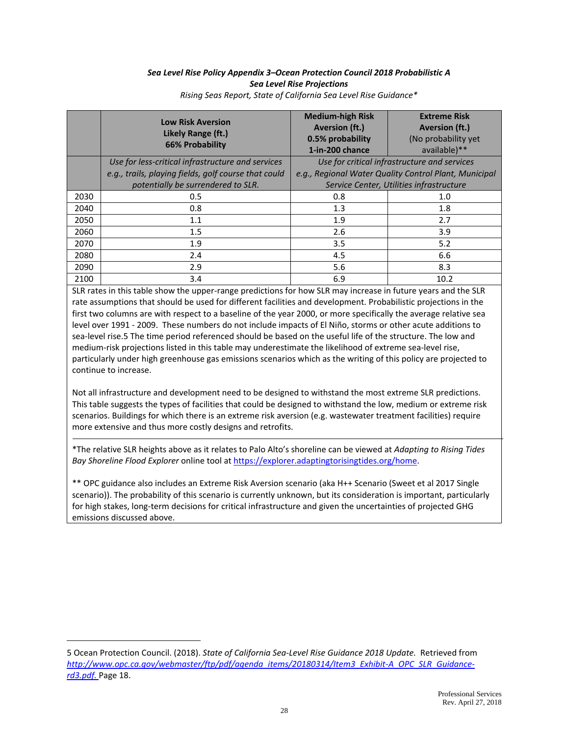#### *Sea Level Rise Policy Appendix 3–Ocean Protection Council 2018 Probabilistic A Sea Level Rise Projections*

|      | <b>Low Risk Aversion</b><br>Likely Range (ft.)<br><b>66% Probability</b> | <b>Medium-high Risk</b><br><b>Aversion (ft.)</b><br>0.5% probability<br>1-in-200 chance | <b>Extreme Risk</b><br><b>Aversion (ft.)</b><br>(No probability yet<br>available)** |  |
|------|--------------------------------------------------------------------------|-----------------------------------------------------------------------------------------|-------------------------------------------------------------------------------------|--|
|      | Use for less-critical infrastructure and services                        | Use for critical infrastructure and services                                            |                                                                                     |  |
|      | e.g., trails, playing fields, golf course that could                     |                                                                                         | e.g., Regional Water Quality Control Plant, Municipal                               |  |
|      | potentially be surrendered to SLR.                                       |                                                                                         | Service Center, Utilities infrastructure                                            |  |
| 2030 | 0.5                                                                      | 0.8                                                                                     | 1.0                                                                                 |  |
| 2040 | 0.8                                                                      | 1.3                                                                                     | 1.8                                                                                 |  |
| 2050 | 1.1                                                                      | 1.9                                                                                     | 2.7                                                                                 |  |
| 2060 | 1.5                                                                      | 2.6                                                                                     | 3.9                                                                                 |  |
| 2070 | 1.9                                                                      | 3.5                                                                                     | 5.2                                                                                 |  |
| 2080 | 2.4                                                                      | 4.5                                                                                     | 6.6                                                                                 |  |
| 2090 | 2.9                                                                      | 5.6                                                                                     | 8.3                                                                                 |  |
| 2100 | 3.4                                                                      | 6.9                                                                                     | 10.2                                                                                |  |

*Rising Seas Report, State of California Sea Level Rise Guidance\**

SLR rates in this table show the upper-range predictions for how SLR may increase in future years and the SLR rate assumptions that should be used for different facilities and development. Probabilistic projections in the first two columns are with respect to a baseline of the year 2000, or more specifically the average relative sea level over 1991 - 2009. These numbers do not include impacts of El Niño, storms or other acute additions to sea-level rise.5 The time period referenced should be based on the useful life of the structure. The low and medium-risk projections listed in this table may underestimate the likelihood of extreme sea-level rise, particularly under high greenhouse gas emissions scenarios which as the writing of this policy are projected to continue to increase.

Not all infrastructure and development need to be designed to withstand the most extreme SLR predictions. This table suggests the types of facilities that could be designed to withstand the low, medium or extreme risk scenarios. Buildings for which there is an extreme risk aversion (e.g. wastewater treatment facilities) require more extensive and thus more costly designs and retrofits.

\*The relative SLR heights above as it relates to Palo Alto's shoreline can be viewed at *Adapting to Rising Tides Bay Shoreline Flood Explorer* online tool a[t https://explorer.adaptingtorisingtides.org/home.](https://explorer.adaptingtorisingtides.org/home)

\*\* OPC guidance also includes an Extreme Risk Aversion scenario (aka H++ Scenario (Sweet et al 2017 Single scenario)). The probability of this scenario is currently unknown, but its consideration is important, particularly for high stakes, long-term decisions for critical infrastructure and given the uncertainties of projected GHG emissions discussed above.

÷.

<sup>5</sup> Ocean Protection Council. (2018). *State of California Sea-Level Rise Guidance 2018 Update.* Retrieved from *[http://www.opc.ca.gov/webmaster/ftp/pdf/agenda\\_items/20180314/Item3\\_Exhibit-A\\_OPC\\_SLR\\_Guidance](http://www.opc.ca.gov/webmaster/ftp/pdf/agenda_items/20180314/Item3_Exhibit-A_OPC_SLR_Guidance-rd3.pdf)[rd3.pdf.](http://www.opc.ca.gov/webmaster/ftp/pdf/agenda_items/20180314/Item3_Exhibit-A_OPC_SLR_Guidance-rd3.pdf)* Page 18.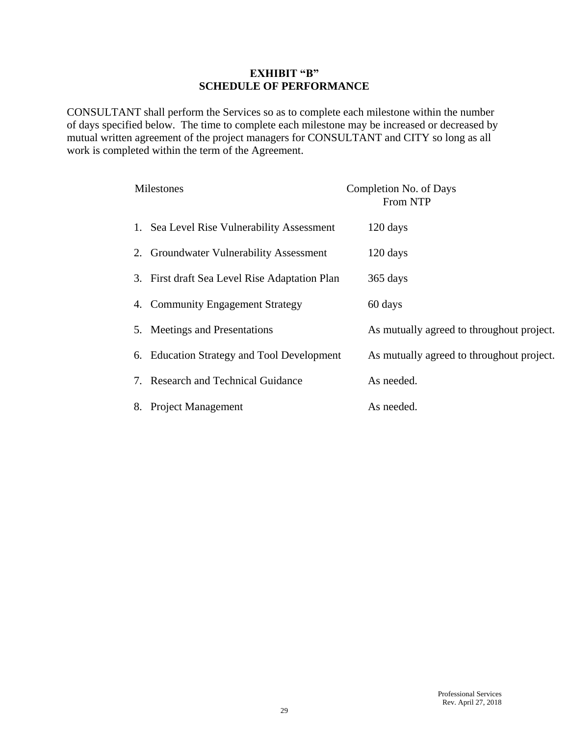#### **EXHIBIT "B" SCHEDULE OF PERFORMANCE**

CONSULTANT shall perform the Services so as to complete each milestone within the number of days specified below. The time to complete each milestone may be increased or decreased by mutual written agreement of the project managers for CONSULTANT and CITY so long as all work is completed within the term of the Agreement.

| Milestones                                    | Completion No. of Days<br><b>From NTP</b> |
|-----------------------------------------------|-------------------------------------------|
| 1. Sea Level Rise Vulnerability Assessment    | 120 days                                  |
| 2. Groundwater Vulnerability Assessment       | 120 days                                  |
| 3. First draft Sea Level Rise Adaptation Plan | 365 days                                  |
| 4. Community Engagement Strategy              | 60 days                                   |
| 5. Meetings and Presentations                 | As mutually agreed to throughout project. |
| 6. Education Strategy and Tool Development    | As mutually agreed to throughout project. |
| 7. Research and Technical Guidance            | As needed.                                |
| <b>Project Management</b><br>8.               | As needed.                                |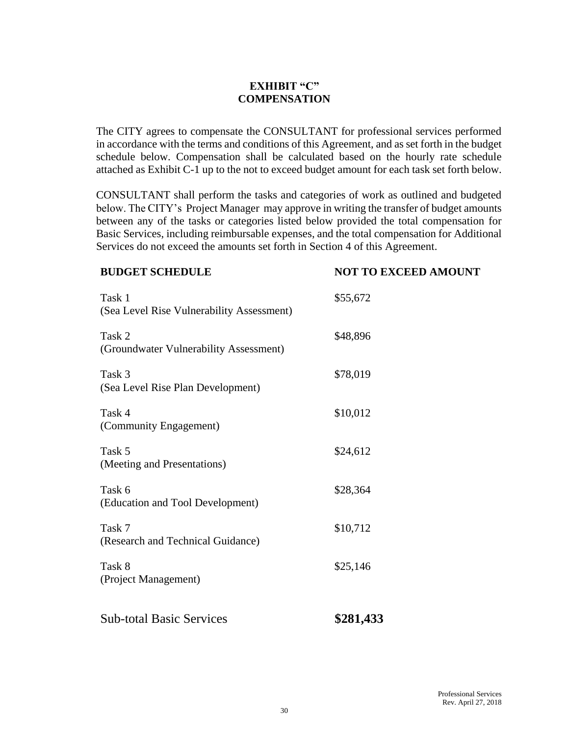# **EXHIBIT "C" COMPENSATION**

The CITY agrees to compensate the CONSULTANT for professional services performed in accordance with the terms and conditions of this Agreement, and as set forth in the budget schedule below. Compensation shall be calculated based on the hourly rate schedule attached as Exhibit C-1 up to the not to exceed budget amount for each task set forth below.

CONSULTANT shall perform the tasks and categories of work as outlined and budgeted below. The CITY's Project Manager may approve in writing the transfer of budget amounts between any of the tasks or categories listed below provided the total compensation for Basic Services, including reimbursable expenses, and the total compensation for Additional Services do not exceed the amounts set forth in Section 4 of this Agreement.

#### **BUDGET SCHEDULE NOT TO EXCEED AMOUNT**

| <b>Sub-total Basic Services</b>                     | \$281,433 |
|-----------------------------------------------------|-----------|
| Task 8<br>(Project Management)                      | \$25,146  |
| Task 7<br>(Research and Technical Guidance)         | \$10,712  |
| Task 6<br>(Education and Tool Development)          | \$28,364  |
| Task 5<br>(Meeting and Presentations)               | \$24,612  |
| Task 4<br>(Community Engagement)                    | \$10,012  |
| Task 3<br>(Sea Level Rise Plan Development)         | \$78,019  |
| Task 2<br>(Groundwater Vulnerability Assessment)    | \$48,896  |
| Task 1<br>(Sea Level Rise Vulnerability Assessment) | \$55,672  |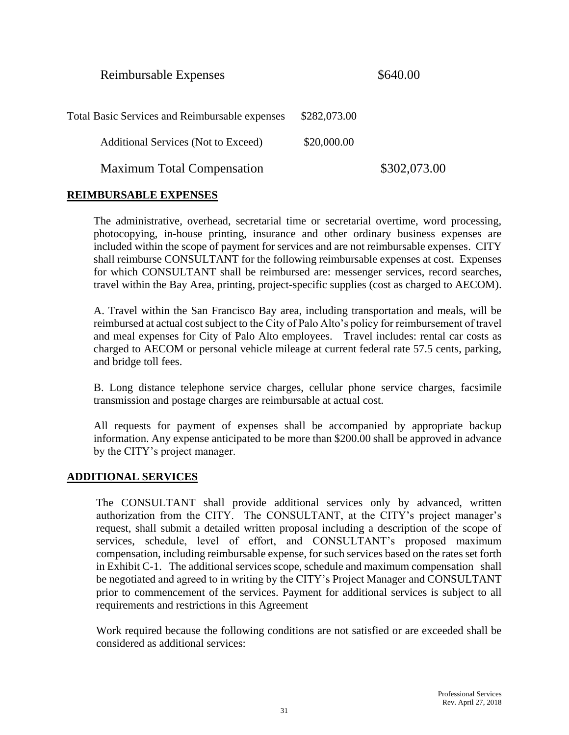Reimbursable Expenses  $$640.00$ 

| <b>Total Basic Services and Reimbursable expenses</b> | \$282,073.00 |              |
|-------------------------------------------------------|--------------|--------------|
| <b>Additional Services (Not to Exceed)</b>            | \$20,000.00  |              |
| <b>Maximum Total Compensation</b>                     |              | \$302,073.00 |

#### **REIMBURSABLE EXPENSES**

The administrative, overhead, secretarial time or secretarial overtime, word processing, photocopying, in-house printing, insurance and other ordinary business expenses are included within the scope of payment for services and are not reimbursable expenses. CITY shall reimburse CONSULTANT for the following reimbursable expenses at cost. Expenses for which CONSULTANT shall be reimbursed are: messenger services, record searches, travel within the Bay Area, printing, project-specific supplies (cost as charged to AECOM).

A. Travel within the San Francisco Bay area, including transportation and meals, will be reimbursed at actual cost subject to the City of Palo Alto's policy for reimbursement of travel and meal expenses for City of Palo Alto employees. Travel includes: rental car costs as charged to AECOM or personal vehicle mileage at current federal rate 57.5 cents, parking, and bridge toll fees.

B. Long distance telephone service charges, cellular phone service charges, facsimile transmission and postage charges are reimbursable at actual cost.

All requests for payment of expenses shall be accompanied by appropriate backup information. Any expense anticipated to be more than \$200.00 shall be approved in advance by the CITY's project manager.

# **ADDITIONAL SERVICES**

The CONSULTANT shall provide additional services only by advanced, written authorization from the CITY. The CONSULTANT, at the CITY's project manager's request, shall submit a detailed written proposal including a description of the scope of services, schedule, level of effort, and CONSULTANT's proposed maximum compensation, including reimbursable expense, for such services based on the rates set forth in Exhibit C-1. The additional services scope, schedule and maximum compensation shall be negotiated and agreed to in writing by the CITY's Project Manager and CONSULTANT prior to commencement of the services. Payment for additional services is subject to all requirements and restrictions in this Agreement

Work required because the following conditions are not satisfied or are exceeded shall be considered as additional services: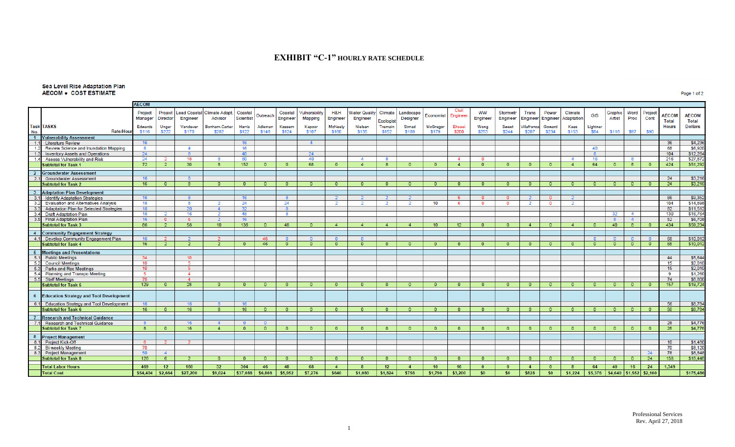#### **EXHIBIT "C-1" HOURLY RATE SCHEDULE**

#### Sea Level Rise Adaptation Plan **AECOM • COST ESTIMATE**

**AECOM** Civil Project Project Lead Coastal Climate Adapt. Coastal Vulnerability H&H **Water Quality** Climate Landscape ww Stormwtr Trans Power Graphic Word Coastal Climate Project **GIS AECOM AECOM** Outreach Fconomist Enginee Engineer Manager Scientist Designer Adaptation Artist Proc Director Advisor Engineer Mapping Engineer Engineer Engineer Engineer Engineer Engineer Cont Ecologis **Total Total Task TASKS** Edwards Unger Vandever Bonham-Carte Harris Adleman Kassem Kapoor McNeely Nielsen Tremain Strnad McGregor Ehsaei Wong Sweet *l*illafranca Goward Kaes Lightner **Hours Dollars** Rate/Hour \$116 \$170 \$282 \$122 \$148 \$124 \$107 \$160 \$135 \$152 \$189 \$179 \$200  $$253$ \$244 \$207 \$234 \$153 \$84 \$116 \$97 \$90  $5222$ No. 1 Vulnerability Assessment  $1.1$ **Literature Review**  $\Delta$ 36  $$4,23$ 68  $56,92$  $1.2$ 16 40 Review Science and Inundation Mapping  $\overline{R}$  $\Delta$ 1.3 Inventory Assets and Operations  $24$  $\mathbf{R}$ 40 24  $8<sup>1</sup>$  $104$  $$12,26$ 1.4 Assess Vulnerability and Risk  $24$ 18  $80$ 40  $16$  $\overline{\mathbf{8}}$ 216 \$27,87  $\mathbf{R}$  $\boldsymbol{A}$  $\boldsymbol{A}$  $\overline{72}$  $\overline{30}$  $152$ 68  $64$  $8<sup>2</sup>$  $424$ \$51.29  $\overline{8}$  $\overline{0}$  $\overline{4}$ **Subtotal for Task 1**  $\overline{2}$  $\Omega$  $\sqrt{2}$  $\mathbf{0}$  $\overline{4}$  $\mathbf{R}$  $\sqrt{2}$  $\mathbf{0}$  $\overline{4}$  $\sqrt{2}$  $\overline{0}$  $\Omega$  $\Omega$  $\mathbf{0}$ 2 Groundwater Assessment  $24$  $$3,21$  $2.1$ **Groundwater Assessment**  $16$  $\mathbf{R}$  $16$  $24$  $3,21$ **Subtotal for Task 2**  $\overline{0}$  $\overline{R}$  $\overline{0}$  $\overline{0}$  $\overline{0}$  $\overline{0}$  $\overline{0}$  $\overline{\mathbf{0}}$  $\overline{0}$  $\overline{0}$  $\overline{0}$  $\overline{0}$  $\overline{0}$  $\overline{0}$  $\overline{0}$  $\overline{0}$  $\overline{0}$  $\overline{0}$  $\overline{0}$  $\sqrt{n}$  $\overline{0}$ - 0 -3 Adaptation Plan Development  $$9,35$ 3.1 Identify Adaptation Strategies  $16$  $8$  $16$  $8$  $2<sup>7</sup>$  $\overline{0}$  $\overline{0}$  $\overline{0}$ 66  $\overline{2}$ -6.  $\overline{2}$  $\overline{2}$  $104$  $3.2$ **Evaluation and Alternatives Analysis** \$14,89  $18$  $24$  $24$  $10<sub>1</sub>$ -8  $\overline{2}$  $\overline{2}$ -6  $\Omega$  $\circ$  $\overline{2}$  $\Omega$  $3.3$ Adaptation Plan for Selected Strategies  $82$ \$11,51 18 20  $\blacktriangle$  $\frac{1}{130}$ 3.4 Draft Adaptation Plan  $18$  $16$ 48  $\overline{R}$  $32<sup>7</sup>$  $\overline{4}$ \$16,764  $\overline{2}$  $\overline{2}$ 3.5 Final Adaptation Plan  $16$  $16$  $52$ \$6,708  $\sqrt{0}$ -6  $\overline{R}$  $4 \overline{2}$ **Subtotal for Task 3** 86  $58$  $10<sup>1</sup>$ 136 48  $-4$  $\sqrt{4}$  $4<sup>1</sup>$  $10$  $12$  $\overline{4}$  $4<sup>1</sup>$  $40$  $8$ 434 \$59,234  $\overline{2}$  $\overline{0}$  $\overline{4}$  $\overline{0}$  $\overline{0}$  $\overline{0}$  $\overline{0}$ 4 Community Engagement Strategy 4.1 Develop Community Engagement Plan 46 68  $$10,01$  $\mathbf{0}$  $\overline{2}$  $\overline{\mathbf{0}}$  $16$ 46  $\overline{2}$  $\overline{0}$  $\overline{0}$  $\overline{0}$  $\overline{0}$  $\overline{0}$ 68  $$10,01$ **Subtotal for Task 4**  $\overline{0}$  $\overline{0}$  $\Omega$  $\overline{0}$  $\overline{0}$  $\overline{\mathbf{0}}$  $\overline{0}$  $\bullet$  $\overline{0}$  $\bullet$  $\overline{0}$  $\overline{0}$ 5 Meetings and Presentations 5.1 Public Meetings  $44$  $$5,644$  $34$  $10<sup>10</sup>$  $\frac{5.2}{5.3}$ Council Meetings  $15$  $$2,01$ 10 Parks and Rec Meetings 10  $15<sub>15</sub>$  $$2,01$ Planning and Transpo Meeting  $$1,26$  $\overline{A}$ **Q** 5.5 Staff Meetings  $74$ \$8.800  $70$  $\overline{4}$ 28 **Subtotal for Task 5**  $129$  $\overline{0}$  $\overline{0}$  $\overline{0}$  $\overline{0}$  $\overline{0}$  $\overline{0}$  $\overline{0}$  $\overline{0}$  $\overline{0}$  $\overline{\mathfrak{o}}$  $\overline{0}$  $\overline{0}$  $\overline{0}$  $\overline{0}$  $\overline{0}$  $\overline{0}$  $\overline{0}$  $\overline{0}$  $157$  $$19,72$  $\circ$  $\overline{0}$ 6 Education Strategy and Tool Development 6.1 Education Strategy and Tool Development  $56$  $$8,78$  $16$  $16$ 16 **Subtotal for Task 6**  $16$  $16$  $16$  $$8,78$  $\bullet$  $\bullet$  $\overline{0}$  $56$  $\overline{0}$ 8  $\overline{0}$  $\overline{0}$  $\sqrt{2}$  $\overline{0}$  $\bullet$  $\overline{0}$  $\bullet$  $\overline{\mathbf{0}}$  $\overline{\mathbf{0}}$  $\bullet$  $\bullet$  $\bullet$  $\bullet$  $\overline{\mathbf{0}}$  $\overline{0}$ 7 Research and Technical Guidance  $28$ \$4,77 7.1 Research and Technical Guidance  $\mathbf{R}$  $16$  $\mathbf{A}$  $\sqrt{2}$  $\sqrt{2}$ **Subtotal for Task 7**  $28$ \$4,77  $16$  $\overline{4}$  $\overline{0}$  $\overline{0}$  $\overline{0}$  $\overline{0}$  $\overline{0}$  $\overline{0}$ -8  $\mathbf{0}$  $\overline{0}$  $\Omega$  $\Omega$  $\mathbf{0}$  $\Omega$  $\Omega$  $\Omega$  $\Omega$  $\Omega$  $\Omega$  $\Omega$  $\mathbf{0}$ - 0 8 Project Management  $10$  $$1,480$ 8.1 Project Kick-Off -6 **Bi-weekly Meeting** 70  $70$  $$8.12$ 8.2 Project Management 78  $$8,84$ 8.3 50  $\Delta$  $24$ **Subtotal for Task 8** 126  $24 -$ 158  $518,44$ -6  $\Omega$  $\mathbf{0}$  $\Omega$  $\mathbf{0}$  $\Omega$  $\Omega$ **Total Labor Hours** 469 160  $12$  $16$  $16$  $-24$ 1,349  $12$  $32$ 304 46 48 68  $\overline{4}$  $\overline{8}$  $\overline{4}$  $10$  $\overline{0}$  $\overline{0}$  $\overline{4}$  $\overline{0}$  $\overline{8}$ 64  $40$ **Total Cost**  $$54,404$  \$2,664 \$27,200 \$9,024  $$37,088$  \$6,808 \$5,952 \$7,276 \$640 \$1,080  $$1,824$ \$756  $$1,790$ \$3,200  $$0$  $$0$ \$828  $$0$  $$1,224$  $$5,376$   $$4,640$   $$1,552$   $$2,160$ \$175,486

Page 1 of 2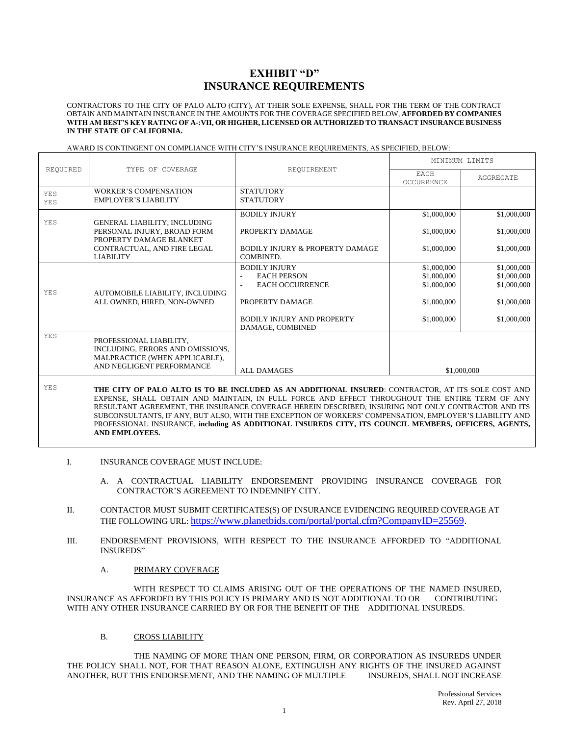#### **EXHIBIT "D" INSURANCE REQUIREMENTS**

CONTRACTORS TO THE CITY OF PALO ALTO (CITY), AT THEIR SOLE EXPENSE, SHALL FOR THE TERM OF THE CONTRACT OBTAIN AND MAINTAIN INSURANCE IN THE AMOUNTS FOR THE COVERAGE SPECIFIED BELOW, **AFFORDED BY COMPANIES WITH AM BEST'S KEY RATING OF A-:VII, OR HIGHER, LICENSED OR AUTHORIZED TO TRANSACT INSURANCE BUSINESS IN THE STATE OF CALIFORNIA.**

|                   | TYPE OF COVERAGE                                                                                                           |                                                                                                                                                                                                       | MINIMUM LIMITS                            |                                           |
|-------------------|----------------------------------------------------------------------------------------------------------------------------|-------------------------------------------------------------------------------------------------------------------------------------------------------------------------------------------------------|-------------------------------------------|-------------------------------------------|
| REOUIRED          |                                                                                                                            | REQUIREMENT                                                                                                                                                                                           | <b>EACH</b><br><b>OCCURRENCE</b>          | AGGREGATE                                 |
| <b>YES</b><br>YES | <b>WORKER'S COMPENSATION</b><br><b>EMPLOYER'S LIABILITY</b>                                                                | <b>STATUTORY</b><br><b>STATUTORY</b>                                                                                                                                                                  |                                           |                                           |
| YES               | GENERAL LIABILITY, INCLUDING                                                                                               | <b>BODILY INJURY</b>                                                                                                                                                                                  | \$1,000,000                               | \$1,000,000                               |
|                   | PERSONAL INJURY, BROAD FORM<br>PROPERTY DAMAGE BLANKET                                                                     | PROPERTY DAMAGE                                                                                                                                                                                       | \$1,000,000                               | \$1,000,000                               |
|                   | CONTRACTUAL, AND FIRE LEGAL<br><b>LIABILITY</b>                                                                            | <b>BODILY INJURY &amp; PROPERTY DAMAGE</b><br>COMBINED.                                                                                                                                               | \$1,000,000                               | \$1,000,000                               |
| YES               | AUTOMOBILE LIABILITY, INCLUDING                                                                                            | <b>BODILY INJURY</b><br><b>EACH PERSON</b><br>٠<br><b>EACH OCCURRENCE</b><br>$\overline{\phantom{a}}$                                                                                                 | \$1,000,000<br>\$1,000,000<br>\$1,000,000 | \$1,000,000<br>\$1,000,000<br>\$1,000,000 |
|                   | ALL OWNED, HIRED, NON-OWNED                                                                                                | PROPERTY DAMAGE<br><b>BODILY INJURY AND PROPERTY</b><br>DAMAGE, COMBINED                                                                                                                              | \$1,000,000<br>\$1,000,000                | \$1,000,000<br>\$1,000,000                |
| YES               | PROFESSIONAL LIABILITY,<br>INCLUDING, ERRORS AND OMISSIONS,<br>MALPRACTICE (WHEN APPLICABLE),<br>AND NEGLIGENT PERFORMANCE | <b>ALL DAMAGES</b>                                                                                                                                                                                    |                                           | \$1,000,000                               |
| YES               |                                                                                                                            | THE CITY OF PALO ALTO IS TO BE INCLUDED AS AN ADDITIONAL INSURED: CONTRACTOR, AT ITS SOLE COST AND<br>EVERNOE, GUALL, ORTAIN, AND MAINTEAN, IN FULL FORCE, AND FEEDOT TURQUOUS THE ENTIRE TERM OF ANY |                                           |                                           |

#### AWARD IS CONTINGENT ON COMPLIANCE WITH CITY'S INSURANCE REQUIREMENTS, AS SPECIFIED, BELOW:

EXPENSE, SHALL OBTAIN AND MAINTAIN, IN FULL FORCE AND EFFECT THROUGHOUT THE ENTIRE TERM OF ANY RESULTANT AGREEMENT, THE INSURANCE COVERAGE HEREIN DESCRIBED, INSURING NOT ONLY CONTRACTOR AND ITS SUBCONSULTANTS, IF ANY, BUT ALSO, WITH THE EXCEPTION OF WORKERS' COMPENSATION, EMPLOYER'S LIABILITY AND PROFESSIONAL INSURANCE, **including AS ADDITIONAL INSUREDS CITY, ITS COUNCIL MEMBERS, OFFICERS, AGENTS, AND EMPLOYEES.**

#### I. INSURANCE COVERAGE MUST INCLUDE:

- A. A CONTRACTUAL LIABILITY ENDORSEMENT PROVIDING INSURANCE COVERAGE FOR CONTRACTOR'S AGREEMENT TO INDEMNIFY CITY.
- II. CONTACTOR MUST SUBMIT CERTIFICATES(S) OF INSURANCE EVIDENCING REQUIRED COVERAGE AT THE FOLLOWING URL: [https://www.planetbids.com/portal/portal.cfm?CompanyID=25569.](https://www.planetbids.com/portal/portal.cfm?CompanyID=25569)
- III. ENDORSEMENT PROVISIONS, WITH RESPECT TO THE INSURANCE AFFORDED TO "ADDITIONAL INSUREDS"
	- A. PRIMARY COVERAGE

WITH RESPECT TO CLAIMS ARISING OUT OF THE OPERATIONS OF THE NAMED INSURED, INSURANCE AS AFFORDED BY THIS POLICY IS PRIMARY AND IS NOT ADDITIONAL TO OR CONTRIBUTING WITH ANY OTHER INSURANCE CARRIED BY OR FOR THE BENEFIT OF THE ADDITIONAL INSUREDS.

#### B. CROSS LIABILITY

THE NAMING OF MORE THAN ONE PERSON, FIRM, OR CORPORATION AS INSUREDS UNDER THE POLICY SHALL NOT, FOR THAT REASON ALONE, EXTINGUISH ANY RIGHTS OF THE INSURED AGAINST ANOTHER, BUT THIS ENDORSEMENT, AND THE NAMING OF MULTIPLE INSUREDS, SHALL NOT INCREASE